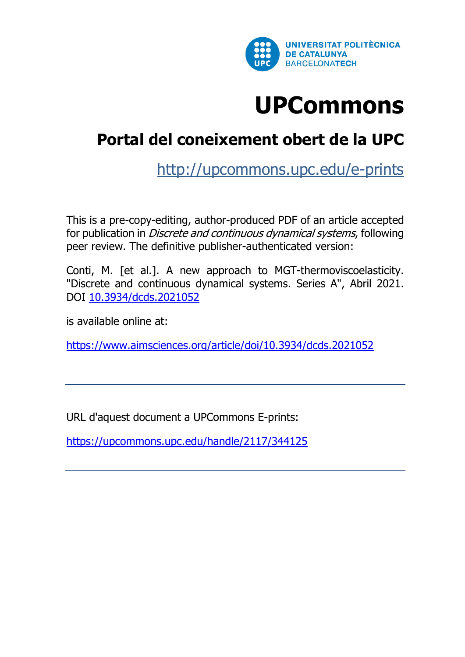

# **[UPCommons](http://upcommonsdev.upc.edu/)**

# **[Portal del coneixement obert de la UPC](http://upcommonsdev.upc.edu/)**

<http://upcommons.upc.edu/e-prints>

This is a pre-copy-editing, author-produced PDF of an article accepted for publication in Discrete and continuous dynamical systems, following peer review. The definitive publisher-authenticated version:

Conti, M. [et al.]. A new approach to MGT-thermoviscoelasticity. "Discrete and continuous dynamical systems. Series A", Abril 2021. DOI [10.3934/dcds.2021052](http://doi.org/10.3934/dcds.2021052)

is available online at:

<https://www.aimsciences.org/article/doi/10.3934/dcds.2021052>

URL d'aquest document a UPCommons E-prints:

<https://upcommons.upc.edu/handle/2117/344125>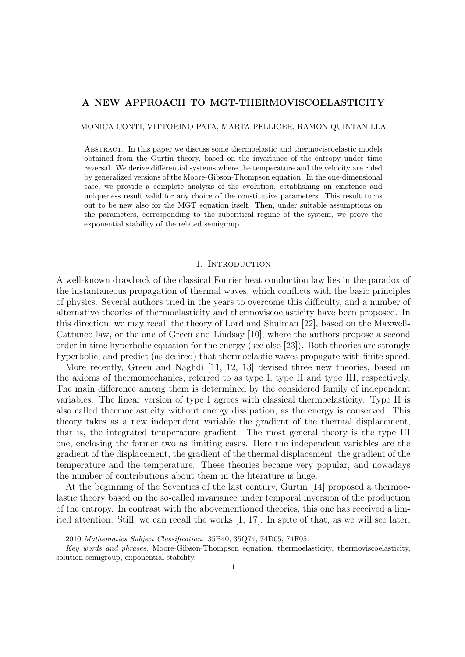## **A NEW APPROACH TO MGT-THERMOVISCOELASTICITY**

#### MONICA CONTI, VITTORINO PATA, MARTA PELLICER, RAMON QUINTANILLA

Abstract. In this paper we discuss some thermoelastic and thermoviscoelastic models obtained from the Gurtin theory, based on the invariance of the entropy under time reversal. We derive differential systems where the temperature and the velocity are ruled by generalized versions of the Moore-Gibson-Thompson equation. In the one-dimensional case, we provide a complete analysis of the evolution, establishing an existence and uniqueness result valid for any choice of the constitutive parameters. This result turns out to be new also for the MGT equation itself. Then, under suitable assumptions on the parameters, corresponding to the subcritical regime of the system, we prove the exponential stability of the related semigroup.

#### 1. INTRODUCTION

A well-known drawback of the classical Fourier heat conduction law lies in the paradox of the instantaneous propagation of thermal waves, which conflicts with the basic principles of physics. Several authors tried in the years to overcome this difficulty, and a number of alternative theories of thermoelasticity and thermoviscoelasticity have been proposed. In this direction, we may recall the theory of Lord and Shulman [22], based on the Maxwell-Cattaneo law, or the one of Green and Lindsay [10], where the authors propose a second order in time hyperbolic equation for the energy (see also [23]). Both theories are strongly hyperbolic, and predict (as desired) that thermoelastic waves propagate with finite speed.

More recently, Green and Naghdi [11, 12, 13] devised three new theories, based on the axioms of thermomechanics, referred to as type I, type II and type III, respectively. The main difference among them is determined by the considered family of independent variables. The linear version of type I agrees with classical thermoelasticity. Type II is also called thermoelasticity without energy dissipation, as the energy is conserved. This theory takes as a new independent variable the gradient of the thermal displacement, that is, the integrated temperature gradient. The most general theory is the type III one, enclosing the former two as limiting cases. Here the independent variables are the gradient of the displacement, the gradient of the thermal displacement, the gradient of the temperature and the temperature. These theories became very popular, and nowadays the number of contributions about them in the literature is huge.

At the beginning of the Seventies of the last century, Gurtin [14] proposed a thermoelastic theory based on the so-called invariance under temporal inversion of the production of the entropy. In contrast with the abovementioned theories, this one has received a limited attention. Still, we can recall the works [1, 17]. In spite of that, as we will see later,

<sup>2010</sup> *Mathematics Subject Classification.* 35B40, 35Q74, 74D05, 74F05.

*Key words and phrases.* Moore-Gibson-Thompson equation, thermoelasticity, thermoviscoelasticity, solution semigroup, exponential stability.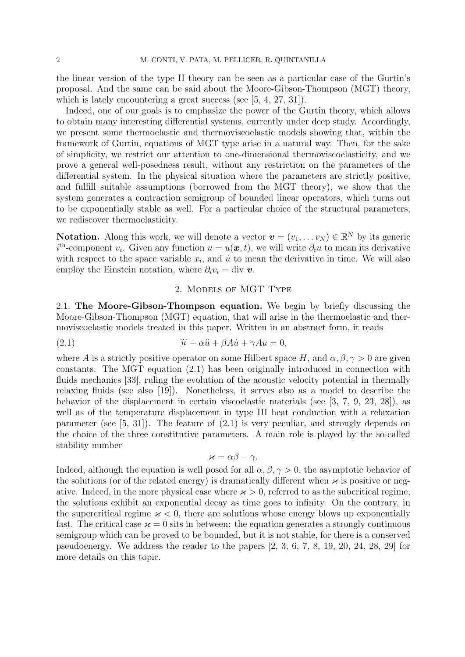the linear version of the type II theory can be seen as a particular case of the Gurtin's proposal. And the same can be said about the Moore-Gibson-Thompson (MGT) theory, which is lately encountering a great success (see [5, 4, 27, 31]).

Indeed, one of our goals is to emphasize the power of the Gurtin theory, which allows to obtain many interesting differential systems, currently under deep study. Accordingly, we present some thermoelastic and thermoviscoelastic models showing that, within the framework of Gurtin, equations of MGT type arise in a natural way. Then, for the sake of simplicity, we restrict our attention to one-dimensional thermoviscoelasticity, and we prove a general well-posedness result, without any restriction on the parameters of the differential system. In the physical situation where the parameters are strictly positive, and fulfill suitable assumptions (borrowed from the MGT theory), we show that the system generates a contraction semigroup of bounded linear operators, which turns out to be exponentially stable as well. For a particular choice of the structural parameters, we rediscover thermoelasticity.

**Notation.** Along this work, we will denote a vector  $\mathbf{v} = (v_1, \dots v_N) \in \mathbb{R}^N$  by its generic  $i$ <sup>th</sup>-component *v*<sub>*i*</sub>. Given any function  $u = u(x, t)$ , we will write  $\partial_i u$  to mean its derivative with respect to the space variable  $x_i$ , and  $\dot{u}$  to mean the derivative in time. We will also employ the Einstein notation, where  $\partial_i v_i = \text{div } v$ .

# 2. Models of MGT Type

2.1. **The Moore-Gibson-Thompson equation.** We begin by briefly discussing the Moore-Gibson-Thompson (MGT) equation, that will arise in the thermoelastic and thermoviscoelastic models treated in this paper. Written in an abstract form, it reads

(2.1) 
$$
\ddot{u} + \alpha \ddot{u} + \beta A \dot{u} + \gamma A u = 0,
$$

where *A* is a strictly positive operator on some Hilbert space *H*, and  $\alpha, \beta, \gamma > 0$  are given constants. The MGT equation (2.1) has been originally introduced in connection with fluids mechanics [33], ruling the evolution of the acoustic velocity potential in thermally relaxing fluids (see also [19]). Nonetheless, it serves also as a model to describe the behavior of the displacement in certain viscoelastic materials (see [3, 7, 9, 23, 28]), as well as of the temperature displacement in type III heat conduction with a relaxation parameter (see [5, 31]). The feature of (2.1) is very peculiar, and strongly depends on the choice of the three constitutive parameters. A main role is played by the so-called stability number

$$
\varkappa = \alpha \beta - \gamma.
$$

Indeed, although the equation is well posed for all  $\alpha, \beta, \gamma > 0$ , the asymptotic behavior of the solutions (or of the related energy) is dramatically different when  $\varkappa$  is positive or negative. Indeed, in the more physical case where  $x > 0$ , referred to as the subcritical regime, the solutions exhibit an exponential decay as time goes to infinity. On the contrary, in the supercritical regime  $x < 0$ , there are solutions whose energy blows up exponentially fast. The critical case  $\varkappa = 0$  sits in between: the equation generates a strongly continuous semigroup which can be proved to be bounded, but it is not stable, for there is a conserved pseudoenergy. We address the reader to the papers [2, 3, 6, 7, 8, 19, 20, 24, 28, 29] for more details on this topic.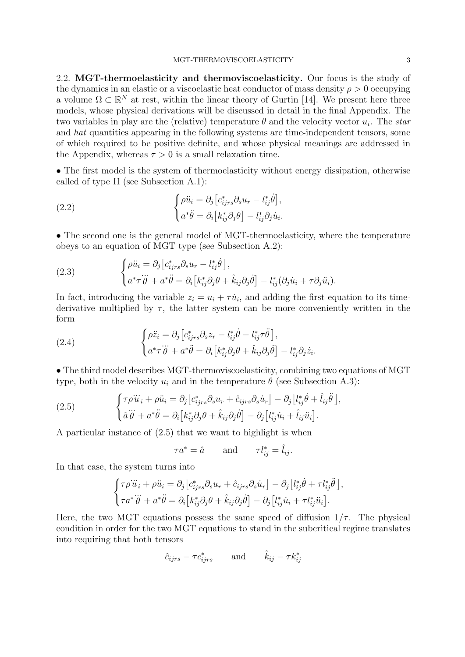2.2. **MGT-thermoelasticity and thermoviscoelasticity.** Our focus is the study of the dynamics in an elastic or a viscoelastic heat conductor of mass density  $\rho > 0$  occupying a volume  $\Omega \subset \mathbb{R}^N$  at rest, within the linear theory of Gurtin [14]. We present here three models, whose physical derivations will be discussed in detail in the final Appendix. The two variables in play are the (relative) temperature  $\theta$  and the velocity vector  $u_i$ . The *star* and *hat* quantities appearing in the following systems are time-independent tensors, some of which required to be positive definite, and whose physical meanings are addressed in the Appendix, whereas  $\tau > 0$  is a small relaxation time.

• The first model is the system of thermoelasticity without energy dissipation, otherwise called of type II (see Subsection A.1):

(2.2) 
$$
\begin{cases} \rho \ddot{u}_i = \partial_j \left[ c_{ijrs}^* \partial_s u_r - l_{ij}^* \dot{\theta} \right], \\ a^* \ddot{\theta} = \partial_i \left[ k_{ij}^* \partial_j \theta \right] - l_{ij}^* \partial_j \dot{u}_i. \end{cases}
$$

• The second one is the general model of MGT-thermoelasticity, where the temperature obeys to an equation of MGT type (see Subsection A.2):

(2.3) 
$$
\begin{cases} \rho \ddot{u}_i = \partial_j \left[ c^*_{ijrs} \partial_s u_r - l^*_{ij} \dot{\theta} \right], \\ a^* \tau \ddot{\theta} + a^* \ddot{\theta} = \partial_i \left[ k^*_{ij} \partial_j \theta + \hat{k}_{ij} \partial_j \dot{\theta} \right] - l^*_{ij} (\partial_j \dot{u}_i + \tau \partial_j \ddot{u}_i). \end{cases}
$$

In fact, introducing the variable  $z_i = u_i + \tau \dot{u}_i$ , and adding the first equation to its timederivative multiplied by  $\tau$ , the latter system can be more conveniently written in the form

(2.4) 
$$
\begin{cases} \rho \ddot{z}_i = \partial_j \left[ c^*_{ijrs} \partial_s z_r - l^*_{ij} \dot{\theta} - l^*_{ij} \tau \ddot{\theta} \right], \\ a^* \tau \ddot{\theta} + a^* \ddot{\theta} = \partial_i \left[ k^*_{ij} \partial_j \theta + \hat{k}_{ij} \partial_j \dot{\theta} \right] - l^*_{ij} \partial_j \dot{z}_i. \end{cases}
$$

• The third model describes MGT-thermoviscoelasticity, combining two equations of MGT type, both in the velocity  $u_i$  and in the temperature  $\theta$  (see Subsection A.3):

(2.5) 
$$
\begin{cases} \tau \rho \ddot{u}_i + \rho \ddot{u}_i = \partial_j \left[ c_{ijrs}^* \partial_s u_r + \hat{c}_{ijrs} \partial_s \dot{u}_r \right] - \partial_j \left[ l_{ij}^* \dot{\theta} + \hat{l}_{ij} \ddot{\theta} \right], \\ \hat{a} \ddot{\theta} + a^* \ddot{\theta} = \partial_i \left[ k_{ij}^* \partial_j \theta + \hat{k}_{ij} \partial_j \dot{\theta} \right] - \partial_j \left[ l_{ij}^* \dot{u}_i + \hat{l}_{ij} \ddot{u}_i \right]. \end{cases}
$$

A particular instance of (2.5) that we want to highlight is when

$$
\tau a^* = \hat{a} \qquad \text{and} \qquad \tau l_{ij}^* = \hat{l}_{ij}.
$$

In that case, the system turns into

$$
\begin{cases}\n\tau \rho \ddot{u}_i + \rho \ddot{u}_i = \partial_j \left[ c_{ijrs}^* \partial_s u_r + \hat{c}_{ijrs} \partial_s \dot{u}_r \right] - \partial_j \left[ l_{ij}^* \dot{\theta} + \tau l_{ij}^* \ddot{\theta} \right], \\
\tau a^* \ddot{\theta} + a^* \ddot{\theta} = \partial_i \left[ k_{ij}^* \partial_j \theta + \hat{k}_{ij} \partial_j \dot{\theta} \right] - \partial_j \left[ l_{ij}^* \dot{u}_i + \tau l_{ij}^* \ddot{u}_i \right].\n\end{cases}
$$

Here, the two MGT equations possess the same speed of diffusion  $1/\tau$ . The physical condition in order for the two MGT equations to stand in the subcritical regime translates into requiring that both tensors

$$
\hat{c}_{ijrs} - \tau c_{ijrs}^* \qquad \text{and} \qquad \hat{k}_{ij} - \tau k_{ij}^*
$$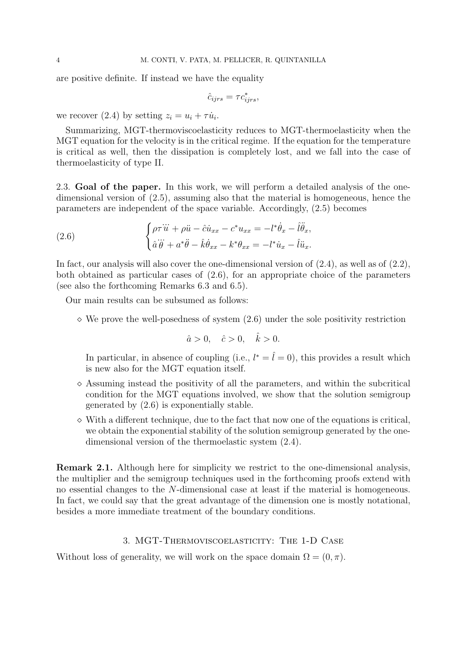are positive definite. If instead we have the equality

$$
\hat{c}_{ijrs} = \tau c_{ijrs}^*,
$$

we recover (2.4) by setting  $z_i = u_i + \tau \dot{u}_i$ .

Summarizing, MGT-thermoviscoelasticity reduces to MGT-thermoelasticity when the MGT equation for the velocity is in the critical regime. If the equation for the temperature is critical as well, then the dissipation is completely lost, and we fall into the case of thermoelasticity of type II.

2.3. **Goal of the paper.** In this work, we will perform a detailed analysis of the onedimensional version of (2.5), assuming also that the material is homogeneous, hence the parameters are independent of the space variable. Accordingly, (2.5) becomes

(2.6) 
$$
\begin{cases} \rho \tau \ddot{u} + \rho \ddot{u} - \hat{c} \dot{u}_{xx} - c^* u_{xx} = -l^* \dot{\theta}_x - \hat{l} \ddot{\theta}_x, \\ \hat{a} \dddot{\theta} + a^* \ddot{\theta} - \hat{k} \dot{\theta}_{xx} - k^* \theta_{xx} = -l^* \dot{u}_x - \hat{l} \ddot{u}_x. \end{cases}
$$

In fact, our analysis will also cover the one-dimensional version of  $(2.4)$ , as well as of  $(2.2)$ , both obtained as particular cases of (2.6), for an appropriate choice of the parameters (see also the forthcoming Remarks 6.3 and 6.5).

Our main results can be subsumed as follows:

*⋄* We prove the well-posedness of system (2.6) under the sole positivity restriction

$$
\hat{a} > 0, \quad \hat{c} > 0, \quad \hat{k} > 0.
$$

In particular, in absence of coupling (i.e.,  $l^* = \hat{l} = 0$ ), this provides a result which is new also for the MGT equation itself.

- *⋄* Assuming instead the positivity of all the parameters, and within the subcritical condition for the MGT equations involved, we show that the solution semigroup generated by (2.6) is exponentially stable.
- *⋄* With a different technique, due to the fact that now one of the equations is critical, we obtain the exponential stability of the solution semigroup generated by the onedimensional version of the thermoelastic system (2.4).

**Remark 2.1.** Although here for simplicity we restrict to the one-dimensional analysis, the multiplier and the semigroup techniques used in the forthcoming proofs extend with no essential changes to the *N*-dimensional case at least if the material is homogeneous. In fact, we could say that the great advantage of the dimension one is mostly notational, besides a more immediate treatment of the boundary conditions.

#### 3. MGT-Thermoviscoelasticity: The 1-D Case

Without loss of generality, we will work on the space domain  $\Omega = (0, \pi)$ .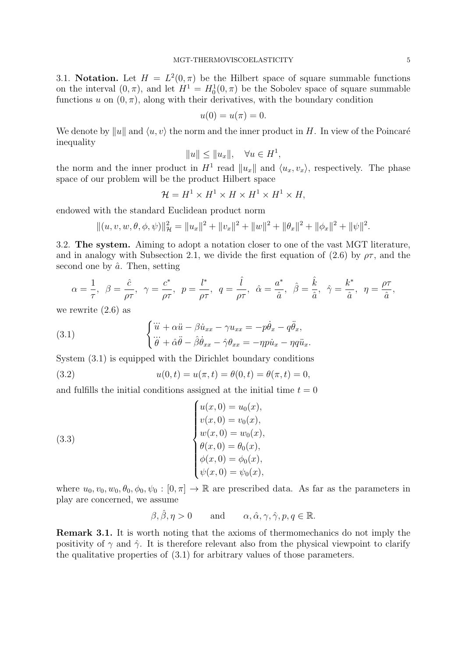3.1. **Notation.** Let  $H = L^2(0, \pi)$  be the Hilbert space of square summable functions on the interval  $(0, \pi)$ , and let  $H^1 = H_0^1(0, \pi)$  be the Sobolev space of square summable functions  $u$  on  $(0, \pi)$ , along with their derivatives, with the boundary condition

$$
u(0) = u(\pi) = 0.
$$

We denote by  $||u||$  and  $\langle u, v \rangle$  the norm and the inner product in *H*. In view of the Poincaré inequality

$$
||u|| \le ||u_x||, \quad \forall u \in H^1,
$$

the norm and the inner product in  $H^1$  read  $||u_x||$  and  $\langle u_x, v_x \rangle$ , respectively. The phase space of our problem will be the product Hilbert space

$$
\mathcal{H} = H^1 \times H^1 \times H \times H^1 \times H^1 \times H,
$$

endowed with the standard Euclidean product norm

$$
||(u, v, w, \theta, \phi, \psi)||_{\mathcal{H}}^{2} = ||u_{x}||^{2} + ||v_{x}||^{2} + ||w||^{2} + ||\theta_{x}||^{2} + ||\phi_{x}||^{2} + ||\psi||^{2}.
$$

3.2. **The system.** Aiming to adopt a notation closer to one of the vast MGT literature, and in analogy with Subsection 2.1, we divide the first equation of (2.6) by  $\rho\tau$ , and the second one by  $\hat{a}$ . Then, setting

$$
\alpha = \frac{1}{\tau}, \ \beta = \frac{\hat{c}}{\rho \tau}, \ \gamma = \frac{c^*}{\rho \tau}, \ \ p = \frac{l^*}{\rho \tau}, \ \ q = \frac{\hat{l}}{\rho \tau}, \ \ \hat{\alpha} = \frac{a^*}{\hat{a}}, \ \ \hat{\beta} = \frac{\hat{k}}{\hat{a}}, \ \ \hat{\gamma} = \frac{k^*}{\hat{a}}, \ \ \eta = \frac{\rho \tau}{\hat{a}},
$$

we rewrite (2.6) as

(3.1) 
$$
\begin{cases} \ddot{u} + \alpha \ddot{u} - \beta \dot{u}_{xx} - \gamma u_{xx} = -p \dot{\theta}_x - q \ddot{\theta}_x, \\ \ddot{\theta} + \hat{\alpha} \ddot{\theta} - \hat{\beta} \dot{\theta}_{xx} - \hat{\gamma} \theta_{xx} = -\eta p \dot{u}_x - \eta q \ddot{u}_x. \end{cases}
$$

System (3.1) is equipped with the Dirichlet boundary conditions

(3.2) 
$$
u(0,t) = u(\pi, t) = \theta(0,t) = \theta(\pi, t) = 0,
$$

and fulfills the initial conditions assigned at the initial time  $t = 0$ 

(3.3)  

$$
\begin{cases}\nu(x, 0) = u_0(x), \\
v(x, 0) = v_0(x), \\
w(x, 0) = w_0(x), \\
\theta(x, 0) = \theta_0(x), \\
\phi(x, 0) = \phi_0(x), \\
\psi(x, 0) = \psi_0(x),\n\end{cases}
$$

where  $u_0, v_0, w_0, \theta_0, \phi_0, \psi_0 : [0, \pi] \to \mathbb{R}$  are prescribed data. As far as the parameters in play are concerned, we assume

$$
\beta, \hat{\beta}, \eta > 0
$$
 and  $\alpha, \hat{\alpha}, \gamma, \hat{\gamma}, p, q \in \mathbb{R}$ .

**Remark 3.1.** It is worth noting that the axioms of thermomechanics do not imply the positivity of  $\gamma$  and  $\hat{\gamma}$ . It is therefore relevant also from the physical viewpoint to clarify the qualitative properties of (3.1) for arbitrary values of those parameters.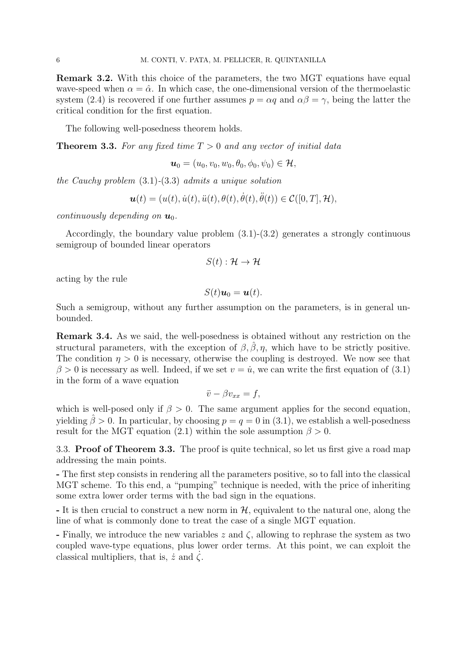**Remark 3.2.** With this choice of the parameters, the two MGT equations have equal wave-speed when  $\alpha = \hat{\alpha}$ . In which case, the one-dimensional version of the thermoelastic system (2.4) is recovered if one further assumes  $p = \alpha q$  and  $\alpha \beta = \gamma$ , being the latter the critical condition for the first equation.

The following well-posedness theorem holds.

**Theorem 3.3.** *For any fixed time T >* 0 *and any vector of initial data*

$$
\boldsymbol{u}_0=(u_0,v_0,w_0,\theta_0,\phi_0,\psi_0)\in\mathcal{H},
$$

*the Cauchy problem* (3.1)*-*(3.3) *admits a unique solution*

$$
\boldsymbol{u}(t)=(u(t),\dot{u}(t),\ddot{u}(t),\theta(t),\dot{\theta}(t),\ddot{\theta}(t))\in\mathcal{C}([0,T],\mathcal{H}),
$$

*continuously depending on*  $u_0$ *.* 

Accordingly, the boundary value problem  $(3.1)-(3.2)$  generates a strongly continuous semigroup of bounded linear operators

$$
S(t): \mathcal{H} \to \mathcal{H}
$$

acting by the rule

$$
S(t)\boldsymbol{u}_0=\boldsymbol{u}(t).
$$

Such a semigroup, without any further assumption on the parameters, is in general unbounded.

**Remark 3.4.** As we said, the well-posedness is obtained without any restriction on the structural parameters, with the exception of  $\beta$ ,  $\hat{\beta}$ ,  $\eta$ , which have to be strictly positive. The condition  $\eta > 0$  is necessary, otherwise the coupling is destroyed. We now see that  $\beta > 0$  is necessary as well. Indeed, if we set  $v = \dot{u}$ , we can write the first equation of (3.1) in the form of a wave equation

$$
\ddot{v} - \beta v_{xx} = f,
$$

which is well-posed only if  $\beta > 0$ . The same argument applies for the second equation, yielding  $\hat{\beta} > 0$ . In particular, by choosing  $p = q = 0$  in (3.1), we establish a well-posedness result for the MGT equation (2.1) within the sole assumption  $\beta > 0$ .

3.3. **Proof of Theorem 3.3.** The proof is quite technical, so let us first give a road map addressing the main points.

**-** The first step consists in rendering all the parameters positive, so to fall into the classical MGT scheme. To this end, a "pumping" technique is needed, with the price of inheriting some extra lower order terms with the bad sign in the equations.

**-** It is then crucial to construct a new norm in *H*, equivalent to the natural one, along the line of what is commonly done to treat the case of a single MGT equation.

**-** Finally, we introduce the new variables *z* and *ζ*, allowing to rephrase the system as two coupled wave-type equations, plus lower order terms. At this point, we can exploit the classical multipliers, that is,  $\dot{z}$  and  $\zeta$ .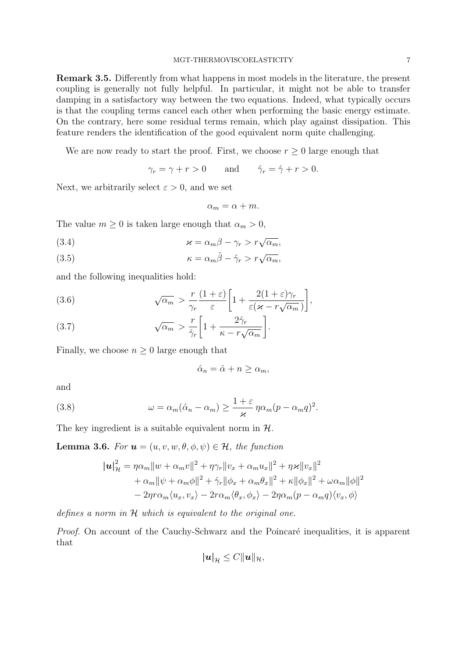**Remark 3.5.** Differently from what happens in most models in the literature, the present coupling is generally not fully helpful. In particular, it might not be able to transfer damping in a satisfactory way between the two equations. Indeed, what typically occurs is that the coupling terms cancel each other when performing the basic energy estimate. On the contrary, here some residual terms remain, which play against dissipation. This feature renders the identification of the good equivalent norm quite challenging.

We are now ready to start the proof. First, we choose  $r \geq 0$  large enough that

$$
\gamma_r = \gamma + r > 0 \quad \text{and} \quad \hat{\gamma}_r = \hat{\gamma} + r > 0.
$$

Next, we arbitrarily select  $\varepsilon > 0$ , and we set

$$
\alpha_m = \alpha + m.
$$

The value  $m \geq 0$  is taken large enough that  $\alpha_m > 0$ ,

(3.4) 
$$
\varkappa = \alpha_m \beta - \gamma_r > r \sqrt{\alpha_m},
$$

(3.5) 
$$
\kappa = \alpha_m \hat{\beta} - \hat{\gamma}_r > r \sqrt{\alpha_m},
$$

and the following inequalities hold:

(3.6) 
$$
\sqrt{\alpha_m} > \frac{r}{\gamma_r} \frac{(1+\varepsilon)}{\varepsilon} \left[ 1 + \frac{2(1+\varepsilon)\gamma_r}{\varepsilon(\varkappa - r\sqrt{\alpha_m})} \right],
$$

(3.7) 
$$
\sqrt{\alpha_m} > \frac{r}{\hat{\gamma}_r} \left[ 1 + \frac{2\hat{\gamma}_r}{\kappa - r\sqrt{\alpha_m}} \right].
$$

Finally, we choose  $n \geq 0$  large enough that

$$
\hat{\alpha}_n = \hat{\alpha} + n \ge \alpha_m,
$$

and

(3.8) 
$$
\omega = \alpha_m(\hat{\alpha}_n - \alpha_m) \ge \frac{1+\varepsilon}{\varkappa} \eta \alpha_m (p - \alpha_m q)^2.
$$

The key ingredient is a suitable equivalent norm in *H*.

**Lemma 3.6.** *For*  $u = (u, v, w, \theta, \phi, \psi) \in \mathcal{H}$ *, the function* 

$$
|\boldsymbol{u}|_{\mathcal{H}}^2 = \eta \alpha_m ||w + \alpha_m v||^2 + \eta \gamma_r ||v_x + \alpha_m u_x||^2 + \eta \varkappa ||v_x||^2
$$
  
+  $\alpha_m ||\psi + \alpha_m \phi||^2 + \hat{\gamma}_r ||\phi_x + \alpha_m \theta_x||^2 + \kappa ||\phi_x||^2 + \omega \alpha_m ||\phi||^2$   
-  $2\eta r \alpha_m \langle u_x, v_x \rangle - 2r \alpha_m \langle \theta_x, \phi_x \rangle - 2\eta \alpha_m (p - \alpha_m q) \langle v_x, \phi \rangle$ 

*defines a norm in H which is equivalent to the original one.*

*Proof.* On account of the Cauchy-Schwarz and the Poincaré inequalities, it is apparent that

$$
|\boldsymbol{u}|_{\mathcal{H}} \leq C ||\boldsymbol{u}||_{\mathcal{H}},
$$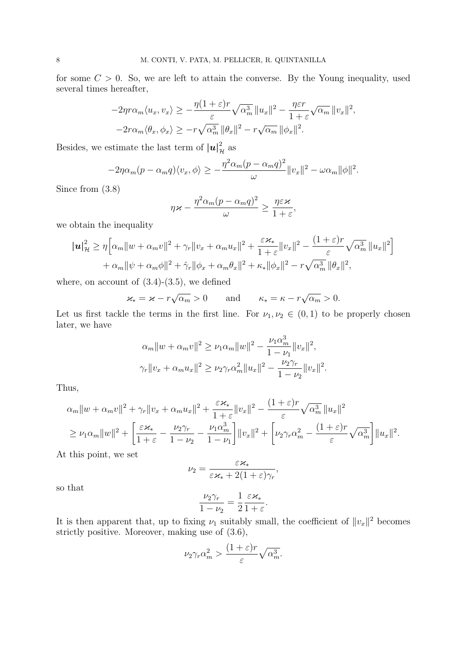for some  $C > 0$ . So, we are left to attain the converse. By the Young inequality, used several times hereafter,

$$
-2\eta r\alpha_m \langle u_x, v_x \rangle \ge -\frac{\eta (1+\varepsilon)r}{\varepsilon} \sqrt{\alpha_m^3} ||u_x||^2 - \frac{\eta \varepsilon r}{1+\varepsilon} \sqrt{\alpha_m} ||v_x||^2,
$$
  

$$
-2r\alpha_m \langle \theta_x, \phi_x \rangle \ge -r\sqrt{\alpha_m^3} ||\theta_x||^2 - r\sqrt{\alpha_m} ||\phi_x||^2.
$$

Besides, we estimate the last term of  $|u|_{\mathcal{H}}^2$  as

$$
-2\eta\alpha_m(p-\alpha_mq)\langle v_x,\phi\rangle \geq -\frac{\eta^2\alpha_m(p-\alpha_mq)^2}{\omega}||v_x||^2-\omega\alpha_m||\phi||^2.
$$

Since from (3.8)

$$
\eta\varkappa - \frac{\eta^2\alpha_m(p-\alpha_mq)^2}{\omega} \ge \frac{\eta\varepsilon\varkappa}{1+\varepsilon},
$$

we obtain the inequality

$$
|\boldsymbol{u}|_{\mathcal{H}}^{2} \geq \eta \Big[ \alpha_{m} ||w + \alpha_{m} v||^{2} + \gamma_{r} ||v_{x} + \alpha_{m} u_{x}||^{2} + \frac{\varepsilon \varkappa_{*}}{1 + \varepsilon} ||v_{x}||^{2} - \frac{(1 + \varepsilon)r}{\varepsilon} \sqrt{\alpha_{m}^{3}} ||u_{x}||^{2} \Big] + \alpha_{m} ||\psi + \alpha_{m} \phi||^{2} + \hat{\gamma}_{r} ||\phi_{x} + \alpha_{m} \theta_{x}||^{2} + \kappa_{*} ||\phi_{x}||^{2} - r \sqrt{\alpha_{m}^{3}} ||\theta_{x}||^{2},
$$

where, on account of  $(3.4)-(3.5)$ , we defined

$$
\varkappa_* = \varkappa - r\sqrt{\alpha_m} > 0
$$
 and  $\kappa_* = \kappa - r\sqrt{\alpha_m} > 0.$ 

Let us first tackle the terms in the first line. For  $\nu_1, \nu_2 \in (0,1)$  to be properly chosen later, we have

$$
\alpha_m \|w + \alpha_m v\|^2 \ge \nu_1 \alpha_m \|w\|^2 - \frac{\nu_1 \alpha_m^3}{1 - \nu_1} \|v_x\|^2,
$$
  

$$
\gamma_r \|v_x + \alpha_m u_x\|^2 \ge \nu_2 \gamma_r \alpha_m^2 \|u_x\|^2 - \frac{\nu_2 \gamma_r}{1 - \nu_2} \|v_x\|^2.
$$

Thus,

$$
\alpha_m \|w + \alpha_m v\|^2 + \gamma_r \|v_x + \alpha_m u_x\|^2 + \frac{\varepsilon \varkappa_*}{1 + \varepsilon} \|v_x\|^2 - \frac{(1 + \varepsilon)r}{\varepsilon} \sqrt{\alpha_m^3} \|u_x\|^2
$$
  
\n
$$
\geq \nu_1 \alpha_m \|w\|^2 + \left[ \frac{\varepsilon \varkappa_*}{1 + \varepsilon} - \frac{\nu_2 \gamma_r}{1 - \nu_2} - \frac{\nu_1 \alpha_m^3}{1 - \nu_1} \right] \|v_x\|^2 + \left[ \nu_2 \gamma_r \alpha_m^2 - \frac{(1 + \varepsilon)r}{\varepsilon} \sqrt{\alpha_m^3} \right] \|u_x\|^2.
$$

At this point, we set

$$
\nu_2 = \frac{\varepsilon \varkappa_*}{\varepsilon \varkappa_* + 2(1+\varepsilon)\gamma_r},
$$

so that

$$
\frac{\nu_2\gamma_r}{1-\nu_2}=\frac{1}{2}\frac{\varepsilon\varkappa_*}{1+\varepsilon}.
$$

It is then apparent that, up to fixing  $\nu_1$  suitably small, the coefficient of  $||v_x||^2$  becomes strictly positive. Moreover, making use of (3.6),

$$
\nu_2 \gamma_r \alpha_m^2 > \frac{(1+\varepsilon)r}{\varepsilon} \sqrt{\alpha_m^3}.
$$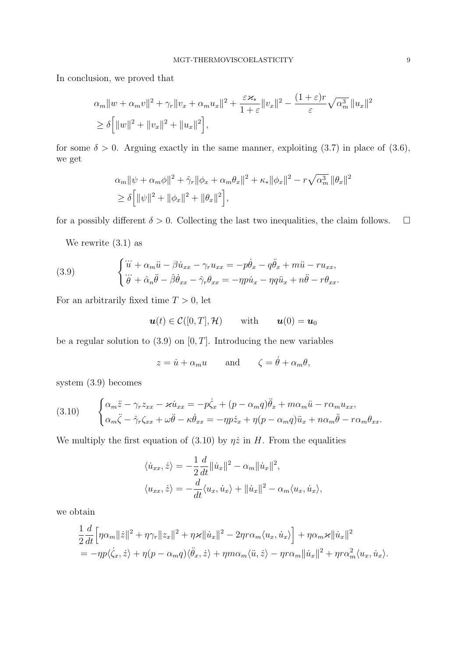In conclusion, we proved that

$$
\alpha_m \|w + \alpha_m v\|^2 + \gamma_r \|v_x + \alpha_m u_x\|^2 + \frac{\varepsilon \varkappa_*}{1 + \varepsilon} \|v_x\|^2 - \frac{(1 + \varepsilon)r}{\varepsilon} \sqrt{\alpha_m^3} \|u_x\|^2
$$
  
\n
$$
\ge \delta \Big[ \|w\|^2 + \|v_x\|^2 + \|u_x\|^2 \Big],
$$

for some  $\delta > 0$ . Arguing exactly in the same manner, exploiting (3.7) in place of (3.6), we get

$$
\alpha_m \|\psi + \alpha_m \phi\|^2 + \hat{\gamma}_r \|\phi_x + \alpha_m \theta_x\|^2 + \kappa_* \|\phi_x\|^2 - r\sqrt{\alpha_m^3} \|\theta_x\|^2
$$
  
\n
$$
\ge \delta \left[ \|\psi\|^2 + \|\phi_x\|^2 + \|\theta_x\|^2 \right],
$$

for a possibly different  $\delta > 0$ . Collecting the last two inequalities, the claim follows.  $\square$ 

We rewrite (3.1) as

(3.9) 
$$
\begin{cases} \dddot{u} + \alpha_m \ddot{u} - \beta \dot{u}_{xx} - \gamma_r u_{xx} = -p \dot{\theta}_x - q \ddot{\theta}_x + m \ddot{u} - r u_{xx}, \\ \dddot{\theta} + \hat{\alpha}_n \ddot{\theta} - \hat{\beta} \dot{\theta}_{xx} - \hat{\gamma}_r \theta_{xx} = -\eta p \dot{u}_x - \eta q \ddot{u}_x + n \ddot{\theta} - r \theta_{xx}. \end{cases}
$$

For an arbitrarily fixed time  $T > 0$ , let

$$
\boldsymbol{u}(t) \in \mathcal{C}([0,T],\mathcal{H}) \qquad \text{with} \qquad \boldsymbol{u}(0) = \boldsymbol{u}_0
$$

be a regular solution to  $(3.9)$  on  $[0, T]$ . Introducing the new variables

$$
z = \dot{u} + \alpha_m u
$$
 and  $\zeta = \dot{\theta} + \alpha_m \theta$ ,

system (3.9) becomes

(3.10) 
$$
\begin{cases} \alpha_m \ddot{z} - \gamma_r z_{xx} - \varkappa \dot{u}_{xx} = -p \dot{\zeta}_x + (p - \alpha_m q) \ddot{\theta}_x + m \alpha_m \ddot{u} - r \alpha_m u_{xx}, \\ \alpha_m \ddot{\zeta} - \hat{\gamma}_r \zeta_{xx} + \omega \ddot{\theta} - \kappa \dot{\theta}_{xx} = -\eta p \dot{z}_x + \eta (p - \alpha_m q) \ddot{u}_x + n \alpha_m \ddot{\theta} - r \alpha_m \theta_{xx}. \end{cases}
$$

We multiply the first equation of (3.10) by  $\eta \dot{z}$  in *H*. From the equalities

$$
\langle \dot{u}_{xx}, \dot{z} \rangle = -\frac{1}{2} \frac{d}{dt} ||\dot{u}_x||^2 - \alpha_m ||\dot{u}_x||^2,
$$
  

$$
\langle u_{xx}, \dot{z} \rangle = -\frac{d}{dt} \langle u_x, \dot{u}_x \rangle + ||\dot{u}_x||^2 - \alpha_m \langle u_x, \dot{u}_x \rangle,
$$

we obtain

$$
\frac{1}{2}\frac{d}{dt}\Big[\eta\alpha_m\|\dot{z}\|^2+\eta\gamma_r\|z_x\|^2+\eta\varkappa\|\dot{u}_x\|^2-2\eta r\alpha_m\langle u_x,\dot{u}_x\rangle\Big]+\eta\alpha_m\varkappa\|\dot{u}_x\|^2=-\eta p\langle\dot{\zeta}_x,\dot{z}\rangle+\eta(p-\alpha_mq)\langle\ddot{\theta}_x,\dot{z}\rangle+\eta m\alpha_m\langle\ddot{u},\dot{z}\rangle-\eta r\alpha_m\|\dot{u}_x\|^2+\eta r\alpha_m^2\langle u_x,\dot{u}_x\rangle.
$$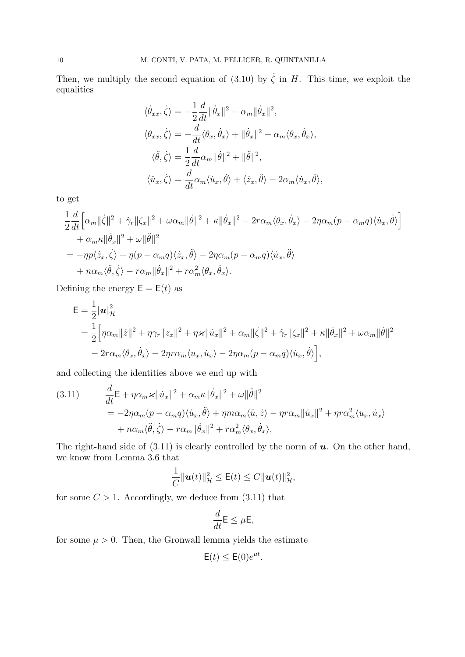Then, we multiply the second equation of (3.10) by  $\dot{\zeta}$  in *H*. This time, we exploit the equalities

$$
\langle \dot{\theta}_{xx}, \dot{\zeta} \rangle = -\frac{1}{2} \frac{d}{dt} ||\dot{\theta}_{x}||^{2} - \alpha_{m} ||\dot{\theta}_{x}||^{2},
$$
  

$$
\langle \theta_{xx}, \dot{\zeta} \rangle = -\frac{d}{dt} \langle \theta_{x}, \dot{\theta}_{x} \rangle + ||\dot{\theta}_{x}||^{2} - \alpha_{m} \langle \theta_{x}, \dot{\theta}_{x} \rangle,
$$
  

$$
\langle \ddot{\theta}, \dot{\zeta} \rangle = \frac{1}{2} \frac{d}{dt} \alpha_{m} ||\dot{\theta}||^{2} + ||\ddot{\theta}||^{2},
$$
  

$$
\langle \ddot{u}_{x}, \dot{\zeta} \rangle = \frac{d}{dt} \alpha_{m} \langle \dot{u}_{x}, \dot{\theta} \rangle + \langle \dot{z}_{x}, \ddot{\theta} \rangle - 2\alpha_{m} \langle \dot{u}_{x}, \ddot{\theta} \rangle,
$$

to get

$$
\frac{1}{2}\frac{d}{dt}\Big[\alpha_m\|\dot{\zeta}\|^2 + \hat{\gamma}_r\|\zeta_x\|^2 + \omega\alpha_m\|\dot{\theta}\|^2 + \kappa\|\dot{\theta}_x\|^2 - 2r\alpha_m\langle\theta_x, \dot{\theta}_x\rangle - 2\eta\alpha_m(p - \alpha_m q)\langle\dot{u}_x, \dot{\theta}\rangle\Big] \n+ \alpha_m\kappa\|\dot{\theta}_x\|^2 + \omega\|\ddot{\theta}\|^2 \n= -\eta p\langle\dot{z}_x, \dot{\zeta}\rangle + \eta(p - \alpha_m q)\langle\dot{z}_x, \ddot{\theta}\rangle - 2\eta\alpha_m(p - \alpha_m q)\langle\dot{u}_x, \ddot{\theta}\rangle \n+ n\alpha_m\langle\ddot{\theta}, \dot{\zeta}\rangle - r\alpha_m\|\dot{\theta}_x\|^2 + r\alpha_m^2\langle\theta_x, \dot{\theta}_x\rangle.
$$

Defining the energy  $E = E(t)$  as

$$
\mathsf{E} = \frac{1}{2} |\mathbf{u}|_{\mathcal{H}}^2
$$
  
= 
$$
\frac{1}{2} \Big[ \eta \alpha_m ||\dot{z}||^2 + \eta \gamma_r ||z_x||^2 + \eta \varkappa ||\dot{u}_x||^2 + \alpha_m ||\dot{\zeta}||^2 + \hat{\gamma}_r ||\zeta_x||^2 + \kappa ||\dot{\theta}_x||^2 + \omega \alpha_m ||\dot{\theta}||^2
$$
  
- 
$$
2r \alpha_m \langle \theta_x, \dot{\theta}_x \rangle - 2\eta r \alpha_m \langle u_x, \dot{u}_x \rangle - 2\eta \alpha_m (p - \alpha_m q) \langle \dot{u}_x, \dot{\theta} \rangle \Big],
$$

and collecting the identities above we end up with

(3.11) 
$$
\frac{d}{dt} \mathbf{E} + \eta \alpha_m \varkappa ||\dot{u}_x||^2 + \alpha_m \kappa ||\dot{\theta}_x||^2 + \omega ||\ddot{\theta}||^2
$$
  

$$
= -2\eta \alpha_m (p - \alpha_m q) \langle \dot{u}_x, \ddot{\theta} \rangle + \eta m \alpha_m \langle \ddot{u}, \dot{z} \rangle - \eta r \alpha_m ||\dot{u}_x||^2 + \eta r \alpha_m^2 \langle u_x, \dot{u}_x \rangle
$$
  

$$
+ n \alpha_m \langle \ddot{\theta}, \dot{\zeta} \rangle - r \alpha_m ||\dot{\theta}_x||^2 + r \alpha_m^2 \langle \theta_x, \dot{\theta}_x \rangle.
$$

The right-hand side of (3.11) is clearly controlled by the norm of *u*. On the other hand, we know from Lemma 3.6 that

$$
\frac{1}{C} \|\mathbf{u}(t)\|_{\mathcal{H}}^2 \leq \mathsf{E}(t) \leq C \|\mathbf{u}(t)\|_{\mathcal{H}}^2,
$$

for some  $C > 1$ . Accordingly, we deduce from  $(3.11)$  that

$$
\frac{d}{dt}\mathsf{E} \leq \mu \mathsf{E},
$$

for some  $\mu > 0$ . Then, the Gronwall lemma yields the estimate

$$
\mathsf{E}(t) \le \mathsf{E}(0)e^{\mu t}.
$$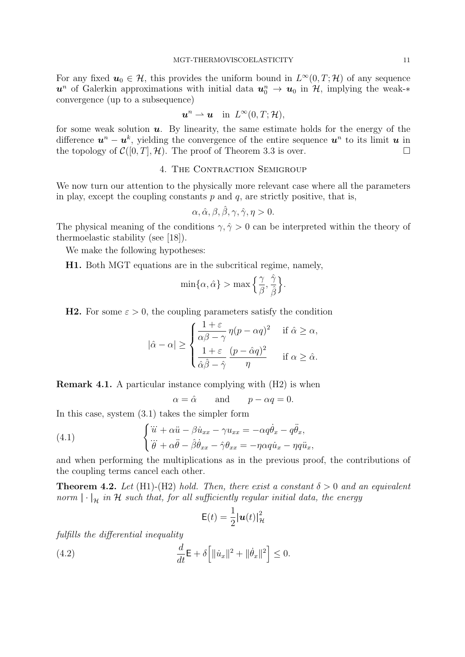For any fixed  $u_0 \in \mathcal{H}$ , this provides the uniform bound in  $L^{\infty}(0,T;\mathcal{H})$  of any sequence  $u^n$  of Galerkin approximations with initial data  $u_0^n \to u_0$  in  $\mathcal{H}$ , implying the weak-\* convergence (up to a subsequence)

$$
\boldsymbol{u}^n \rightharpoonup \boldsymbol{u} \quad \text{in} \ \ L^\infty(0,T;\mathcal{H}),
$$

for some weak solution *u*. By linearity, the same estimate holds for the energy of the difference  $u^n - u^k$ , yielding the convergence of the entire sequence  $u^n$  to its limit  $u$  in the topology of  $C([0, T], \mathcal{H})$ . The proof of Theorem 3.3 is over.

# 4. THE CONTRACTION SEMIGROUP

We now turn our attention to the physically more relevant case where all the parameters in play, except the coupling constants  $p$  and  $q$ , are strictly positive, that is,

$$
\alpha, \hat{\alpha}, \beta, \hat{\beta}, \gamma, \hat{\gamma}, \eta > 0.
$$

The physical meaning of the conditions  $\gamma, \hat{\gamma} > 0$  can be interpreted within the theory of thermoelastic stability (see [18]).

We make the following hypotheses:

**H1.** Both MGT equations are in the subcritical regime, namely,

$$
\min\{\alpha,\hat\alpha\} > \max\Big\{\frac{\gamma}{\beta},\frac{\hat\gamma}{\hat\beta}\Big\}.
$$

**H2.** For some  $\varepsilon > 0$ , the coupling parameters satisfy the condition

$$
|\hat{\alpha} - \alpha| \ge \begin{cases} \frac{1+\varepsilon}{\alpha\beta-\gamma}\,\eta(p-\alpha q)^2 & \text{if $\hat{\alpha}\ge\alpha$,} \\ \frac{1+\varepsilon}{\hat{\alpha}\hat{\beta}-\hat{\gamma}}\,\frac{(p-\hat{\alpha} q)^2}{\eta} & \text{if $\alpha\ge\hat{\alpha}$.} \end{cases}
$$

**Remark 4.1.** A particular instance complying with (H2) is when

 $\alpha = \hat{\alpha}$  and  $p - \alpha q = 0$ .

In this case, system (3.1) takes the simpler form

(4.1) 
$$
\begin{cases} \ddot{u} + \alpha \ddot{u} - \beta \dot{u}_{xx} - \gamma u_{xx} = -\alpha q \dot{\theta}_x - q \ddot{\theta}_x, \\ \ddot{\theta} + \alpha \ddot{\theta} - \beta \dot{\theta}_{xx} - \hat{\gamma} \theta_{xx} = -\eta \alpha q \dot{u}_x - \eta q \ddot{u}_x, \end{cases}
$$

and when performing the multiplications as in the previous proof, the contributions of the coupling terms cancel each other.

**Theorem 4.2.** *Let* (H1)-(H2) *hold. Then, there exist a constant*  $\delta > 0$  *and an equivalent norm*  $| \cdot |_{\mathcal{H}}$  *in*  $\mathcal{H}$  *such that, for all sufficiently regular initial data, the energy* 

$$
\mathsf{E}(t) = \frac{1}{2} |\boldsymbol{u}(t)|_{\mathcal{H}}^2
$$

*fulfills the differential inequality*

(4.2) 
$$
\frac{d}{dt} \mathsf{E} + \delta \Big[ \| \dot{u}_x \|^2 + \| \dot{\theta}_x \|^2 \Big] \leq 0.
$$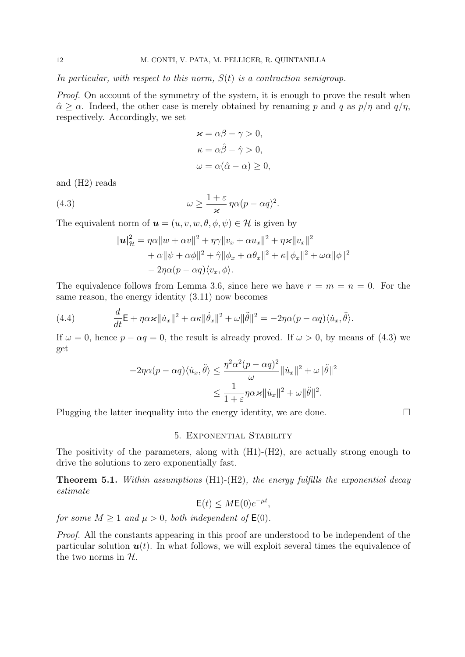*In particular, with respect to this norm, S*(*t*) *is a contraction semigroup.*

*Proof.* On account of the symmetry of the system, it is enough to prove the result when  $\hat{\alpha} \geq \alpha$ . Indeed, the other case is merely obtained by renaming *p* and *q* as  $p/\eta$  and  $q/\eta$ , respectively. Accordingly, we set

$$
\begin{aligned}\n\varkappa &= \alpha \beta - \gamma > 0, \\
\kappa &= \alpha \hat{\beta} - \hat{\gamma} > 0, \\
\omega &= \alpha (\hat{\alpha} - \alpha) \ge 0,\n\end{aligned}
$$

and (H2) reads

(4.3) 
$$
\omega \geq \frac{1+\varepsilon}{\varkappa} \eta \alpha (p - \alpha q)^2.
$$

The equivalent norm of  $u = (u, v, w, \theta, \phi, \psi) \in \mathcal{H}$  is given by

$$
|\boldsymbol{u}|_{\mathcal{H}}^2 = \eta \alpha \|w + \alpha v\|^2 + \eta \gamma \|v_x + \alpha u_x\|^2 + \eta \varkappa \|v_x\|^2
$$
  
+ 
$$
\alpha \|\psi + \alpha \phi\|^2 + \hat{\gamma} \|\phi_x + \alpha \theta_x\|^2 + \kappa \|\phi_x\|^2 + \omega \alpha \|\phi\|^2
$$
  
- 
$$
2\eta \alpha (p - \alpha q) \langle v_x, \phi \rangle.
$$

The equivalence follows from Lemma 3.6, since here we have  $r = m = n = 0$ . For the same reason, the energy identity (3.11) now becomes

(4.4) 
$$
\frac{d}{dt}\mathsf{E} + \eta \alpha \varkappa \|\dot{u}_x\|^2 + \alpha \kappa \|\dot{\theta}_x\|^2 + \omega \|\ddot{\theta}\|^2 = -2\eta \alpha (p - \alpha q) \langle \dot{u}_x, \ddot{\theta} \rangle.
$$

If  $\omega = 0$ , hence  $p - \alpha q = 0$ , the result is already proved. If  $\omega > 0$ , by means of (4.3) we get

$$
-2\eta\alpha(p-\alpha q)\langle \dot{u}_x, \ddot{\theta} \rangle \le \frac{\eta^2\alpha^2(p-\alpha q)^2}{\omega} \|\dot{u}_x\|^2 + \omega \|\ddot{\theta}\|^2
$$

$$
\le \frac{1}{1+\varepsilon} \eta\alpha\varkappa \|\dot{u}_x\|^2 + \omega \|\ddot{\theta}\|^2.
$$

Plugging the latter inequality into the energy identity, we are done.  $\Box$ 

### 5. Exponential Stability

The positivity of the parameters, along with (H1)-(H2), are actually strong enough to drive the solutions to zero exponentially fast.

**Theorem 5.1.** *Within assumptions* (H1)-(H2)*, the energy fulfills the exponential decay estimate*

 $E(t) \leq ME(0)e^{-\mu t}$ 

*for some*  $M \geq 1$  *and*  $\mu \geq 0$ *, both independent of*  $E(0)$ *.* 

*Proof.* All the constants appearing in this proof are understood to be independent of the particular solution  $u(t)$ . In what follows, we will exploit several times the equivalence of the two norms in *H*.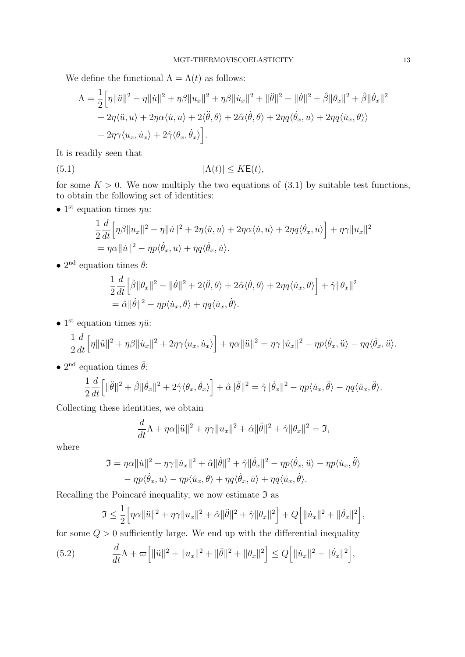We define the functional  $\Lambda = \Lambda(t)$  as follows:

$$
\Lambda = \frac{1}{2} \Big[ \eta ||\ddot{u}||^2 - \eta ||\dot{u}||^2 + \eta \beta ||u_x||^2 + \eta \beta ||\dot{u}_x||^2 + ||\ddot{\theta}||^2 - ||\dot{\theta}||^2 + \hat{\beta} ||\theta_x||^2 + \hat{\beta} ||\dot{\theta}_x||^2
$$
  
+  $2\eta \langle \ddot{u}, u \rangle + 2\eta \alpha \langle \dot{u}, u \rangle + 2 \langle \ddot{\theta}, \theta \rangle + 2\hat{\alpha} \langle \dot{\theta}, \theta \rangle + 2\eta q \langle \dot{\theta}_x, u \rangle + 2\eta q \langle \dot{u}_x, \theta \rangle \rangle$   
+  $2\eta \gamma \langle u_x, \dot{u}_x \rangle + 2\hat{\gamma} \langle \theta_x, \dot{\theta}_x \rangle \Big].$ 

It is readily seen that

$$
|\Lambda(t)| \le K\mathsf{E}(t),
$$

for some  $K > 0$ . We now multiply the two equations of  $(3.1)$  by suitable test functions, to obtain the following set of identities:

*•* 1 st equation times *ηu*:

$$
\frac{1}{2}\frac{d}{dt}\Big[\eta\beta\|u_x\|^2 - \eta\|\dot{u}\|^2 + 2\eta\langle\ddot{u},u\rangle + 2\eta\alpha\langle\dot{u},u\rangle + 2\eta q\langle\dot{\theta}_x,u\rangle\Big] + \eta\gamma\|u_x\|^2
$$
  
=  $\eta\alpha\|\dot{u}\|^2 - \eta p\langle\dot{\theta}_x,u\rangle + \eta q\langle\dot{\theta}_x,\dot{u}\rangle.$ 

*•* 2 nd equation times *θ*:

$$
\frac{1}{2}\frac{d}{dt}\Big[\hat{\beta}\|\theta_x\|^2 - \|\dot{\theta}\|^2 + 2\langle\ddot{\theta},\theta\rangle + 2\hat{\alpha}\langle\dot{\theta},\theta\rangle + 2\eta q\langle\dot{u}_x,\theta\rangle\Big] + \hat{\gamma}\|\theta_x\|^2
$$
  
=  $\hat{\alpha}\|\dot{\theta}\|^2 - \eta p\langle\dot{u}_x,\theta\rangle + \eta q\langle\dot{u}_x,\dot{\theta}\rangle.$ 

• 1<sup>st</sup> equation times *ηü*:

$$
\frac{1}{2}\frac{d}{dt}\Big[\eta\|\ddot{u}\|^2+\eta\beta\|\dot{u}_x\|^2+2\eta\gamma\langle u_x,\dot{u}_x\rangle\Big]+\eta\alpha\|\ddot{u}\|^2=\eta\gamma\|\dot{u}_x\|^2-\eta p\langle\dot{\theta}_x,\ddot{u}\rangle-\eta q\langle\ddot{\theta}_x,\ddot{u}\rangle.
$$

•  $2<sup>nd</sup>$  equation times  $\ddot{\theta}$ :

$$
\frac{1}{2}\frac{d}{dt}\Big[\|\ddot{\theta}\|^2+\hat{\beta}\|\dot{\theta}_x\|^2+2\hat{\gamma}\langle\theta_x,\dot{\theta}_x\rangle\Big]+\hat{\alpha}\|\ddot{\theta}\|^2=\hat{\gamma}\|\dot{\theta}_x\|^2-\eta p\langle\dot{u}_x,\ddot{\theta}\rangle-\eta q\langle\ddot{u}_x,\ddot{\theta}\rangle.
$$

Collecting these identities, we obtain

$$
\frac{d}{dt}\Lambda + \eta\alpha \|\ddot{u}\|^2 + \eta\gamma \|u_x\|^2 + \hat{\alpha}\|\ddot{\theta}\|^2 + \hat{\gamma}\|\theta_x\|^2 = \mathfrak{I},
$$

where

$$
\mathfrak{I} = \eta \alpha ||\dot{u}||^2 + \eta \gamma ||\dot{u}_x||^2 + \hat{\alpha} ||\dot{\theta}||^2 + \hat{\gamma} ||\dot{\theta}_x||^2 - \eta p \langle \dot{\theta}_x, \ddot{u} \rangle - \eta p \langle \dot{u}_x, \ddot{\theta} \rangle - \eta p \langle \dot{\theta}_x, u \rangle - \eta p \langle \dot{u}_x, \theta \rangle + \eta q \langle \dot{\theta}_x, \dot{u} \rangle + \eta q \langle \dot{u}_x, \dot{\theta} \rangle.
$$

Recalling the Poincaré inequality, we now estimate  $\mathfrak I$  as

$$
\Im \leq \frac{1}{2} \Big[ \eta \alpha \|\ddot{u}\|^2 + \eta \gamma \|u_x\|^2 + \hat{\alpha} \|\ddot{\theta}\|^2 + \hat{\gamma} \|\theta_x\|^2 \Big] + Q \Big[ \|\dot{u}_x\|^2 + \|\dot{\theta}_x\|^2 \Big],
$$

for some  $Q > 0$  sufficiently large. We end up with the differential inequality

(5.2) 
$$
\frac{d}{dt}\Lambda + \varpi \Big[ \|\ddot{u}\|^2 + \|u_x\|^2 + \|\ddot{\theta}\|^2 + \|\theta_x\|^2 \Big] \le Q \Big[ \|\dot{u}_x\|^2 + \|\dot{\theta}_x\|^2 \Big],
$$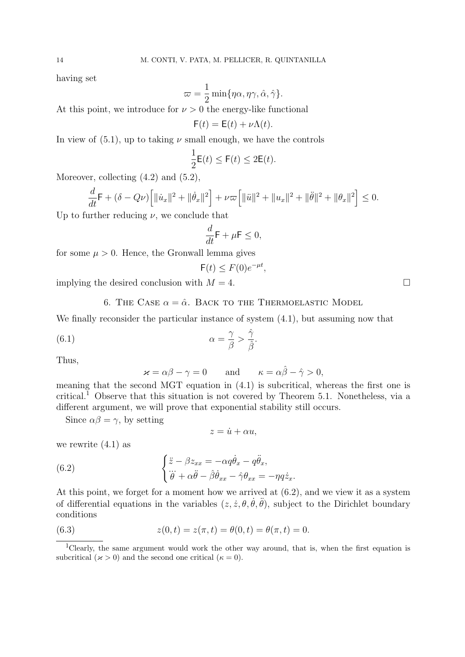having set

$$
\varpi = \frac{1}{2} \min \{ \eta \alpha, \eta \gamma, \hat{\alpha}, \hat{\gamma} \}.
$$

At this point, we introduce for  $\nu > 0$  the energy-like functional

$$
F(t) = E(t) + \nu \Lambda(t).
$$

In view of  $(5.1)$ , up to taking  $\nu$  small enough, we have the controls

$$
\frac{1}{2}\mathsf{E}(t) \le \mathsf{F}(t) \le 2\mathsf{E}(t).
$$

Moreover, collecting  $(4.2)$  and  $(5.2)$ ,

$$
\frac{d}{dt}\mathsf{F} + (\delta - Q\nu)\Big[\|\dot{u}_x\|^2 + \|\dot{\theta}_x\|^2\Big] + \nu\varpi\Big[\|\ddot{u}\|^2 + \|u_x\|^2 + \|\ddot{\theta}\|^2 + \|\theta_x\|^2\Big] \leq 0.
$$

Up to further reducing  $\nu$ , we conclude that

$$
\frac{d}{dt}\mathsf{F} + \mu \mathsf{F} \le 0,
$$

for some  $\mu > 0$ . Hence, the Gronwall lemma gives

$$
\mathsf{F}(t) \le F(0)e^{-\mu t},
$$

implying the desired conclusion with  $M = 4$ .

6. THE CASE  $\alpha = \hat{\alpha}$ . BACK TO THE THERMOELASTIC MODEL

We finally reconsider the particular instance of system (4.1), but assuming now that

(6.1) 
$$
\alpha = \frac{\gamma}{\beta} > \frac{\hat{\gamma}}{\hat{\beta}}.
$$

Thus,

$$
\varkappa = \alpha \beta - \gamma = 0
$$
 and  $\kappa = \alpha \hat{\beta} - \hat{\gamma} > 0$ ,

meaning that the second MGT equation in (4.1) is subcritical, whereas the first one is critical.<sup>1</sup> Observe that this situation is not covered by Theorem 5.1. Nonetheless, via a different argument, we will prove that exponential stability still occurs.

Since  $\alpha\beta = \gamma$ , by setting

$$
z = \dot{u} + \alpha u,
$$

we rewrite  $(4.1)$  as

(6.2) 
$$
\begin{cases} \ddot{z} - \beta z_{xx} = -\alpha q \dot{\theta}_x - q \ddot{\theta}_x, \\ \dddot{\theta} + \alpha \ddot{\theta} - \beta \dot{\theta}_{xx} - \hat{\gamma} \theta_{xx} = -\eta q \dot{z}_x. \end{cases}
$$

At this point, we forget for a moment how we arrived at (6.2), and we view it as a system of differential equations in the variables  $(z, \dot{z}, \theta, \dot{\theta}, \ddot{\theta})$ , subject to the Dirichlet boundary conditions

(6.3) 
$$
z(0,t) = z(\pi,t) = \theta(0,t) = \theta(\pi,t) = 0.
$$

<sup>&</sup>lt;sup>1</sup>Clearly, the same argument would work the other way around, that is, when the first equation is subcritical ( $\varkappa > 0$ ) and the second one critical ( $\kappa = 0$ ).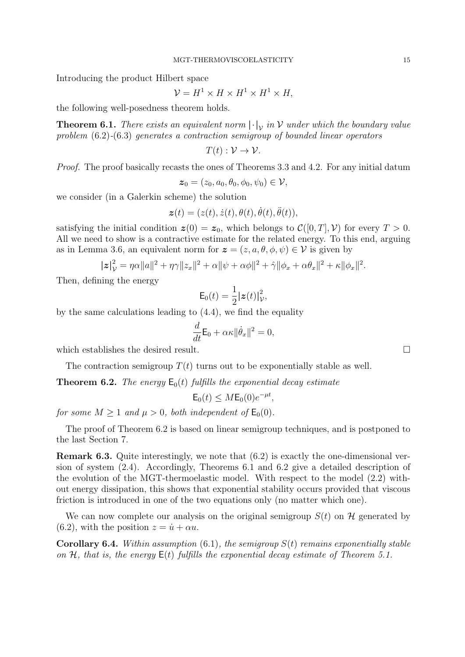Introducing the product Hilbert space

$$
\mathcal{V} = H^1 \times H \times H^1 \times H^1 \times H,
$$

the following well-posedness theorem holds.

**Theorem 6.1.** *There exists an equivalent norm*  $|\cdot|_V$  *in*  $V$  *under which the boundary value problem* (6.2)*-*(6.3) *generates a contraction semigroup of bounded linear operators*

$$
T(t): \mathcal{V} \to \mathcal{V}.
$$

*Proof.* The proof basically recasts the ones of Theorems 3.3 and 4.2. For any initial datum

$$
\boldsymbol{z}_0 = (z_0, a_0, \theta_0, \phi_0, \psi_0) \in \mathcal{V},
$$

we consider (in a Galerkin scheme) the solution

$$
\boldsymbol{z}(t)=(z(t),\dot{z}(t),\theta(t),\dot{\theta}(t),\ddot{\theta}(t)),
$$

satisfying the initial condition  $\boldsymbol{z}(0) = \boldsymbol{z}_0$ , which belongs to  $\mathcal{C}([0,T], \mathcal{V})$  for every  $T > 0$ . All we need to show is a contractive estimate for the related energy. To this end, arguing as in Lemma 3.6, an equivalent norm for  $\boldsymbol{z} = (z, a, \theta, \phi, \psi) \in \mathcal{V}$  is given by

$$
|z|_{\mathcal{V}}^2 = \eta \alpha ||a||^2 + \eta \gamma ||z_x||^2 + \alpha ||\psi + \alpha \phi||^2 + \hat{\gamma} ||\phi_x + \alpha \theta_x||^2 + \kappa ||\phi_x||^2.
$$

Then, defining the energy

$$
\mathsf{E}_0(t) = \frac{1}{2} |\boldsymbol{z}(t)|_{\mathcal{V}}^2,
$$

by the same calculations leading to (4.4), we find the equality

$$
\frac{d}{dt}\mathsf{E}_0 + \alpha \kappa \|\dot{\theta}_x\|^2 = 0,
$$

which establishes the desired result.

The contraction semigroup  $T(t)$  turns out to be exponentially stable as well.

**Theorem 6.2.** *The energy*  $E_0(t)$  *fulfills the exponential decay estimate* 

$$
\mathsf{E}_0(t) \leq M \mathsf{E}_0(0) e^{-\mu t},
$$

*for some*  $M \geq 1$  *and*  $\mu > 0$ *, both independent of*  $\mathsf{E}_0(0)$ *.* 

The proof of Theorem 6.2 is based on linear semigroup techniques, and is postponed to the last Section 7.

**Remark 6.3.** Quite interestingly, we note that  $(6.2)$  is exactly the one-dimensional version of system (2.4). Accordingly, Theorems 6.1 and 6.2 give a detailed description of the evolution of the MGT-thermoelastic model. With respect to the model (2.2) without energy dissipation, this shows that exponential stability occurs provided that viscous friction is introduced in one of the two equations only (no matter which one).

We can now complete our analysis on the original semigroup  $S(t)$  on  $H$  generated by (6.2), with the position  $z = \dot{u} + \alpha u$ .

**Corollary 6.4.** *Within assumption* (6.1)*, the semigroup S*(*t*) *remains exponentially stable on H, that is, the energy* E(*t*) *fulfills the exponential decay estimate of Theorem 5.1.*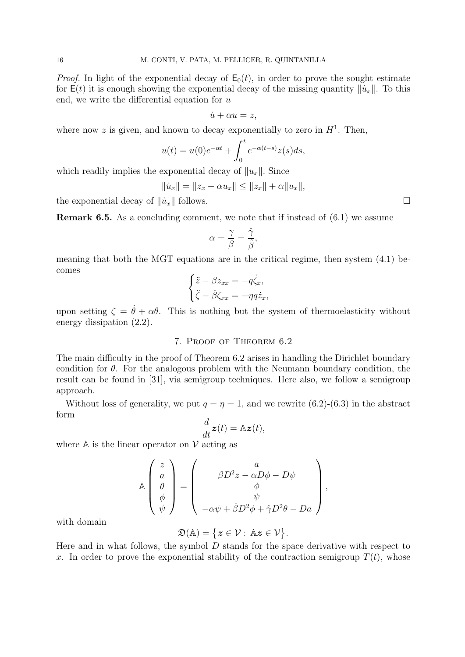*Proof.* In light of the exponential decay of  $E_0(t)$ , in order to prove the sought estimate for  $E(t)$  it is enough showing the exponential decay of the missing quantity  $||\dot{u}_x||$ . To this end, we write the differential equation for *u*

$$
\dot{u} + \alpha u = z,
$$

where now  $z$  is given, and known to decay exponentially to zero in  $H<sup>1</sup>$ . Then,

$$
u(t) = u(0)e^{-\alpha t} + \int_0^t e^{-\alpha(t-s)}z(s)ds,
$$

which readily implies the exponential decay of *∥ux∥.* Since

$$
\|\dot{u}_x\| = \|z_x - \alpha u_x\| \le \|z_x\| + \alpha \|u_x\|,
$$

the exponential decay of  $||\dot{u}_x||$  follows.

**Remark 6.5.** As a concluding comment, we note that if instead of  $(6.1)$  we assume

$$
\alpha = \frac{\gamma}{\beta} = \frac{\hat{\gamma}}{\hat{\beta}},
$$

meaning that both the MGT equations are in the critical regime, then system (4.1) becomes

$$
\begin{cases}\n\ddot{z} - \beta z_{xx} = -q\dot{\zeta}_x, \\
\ddot{\zeta} - \hat{\beta}\zeta_{xx} = -\eta q\dot{z}_x,\n\end{cases}
$$

upon setting  $\zeta = \dot{\theta} + \alpha \theta$ . This is nothing but the system of thermoelasticity without energy dissipation (2.2).

# 7. Proof of Theorem 6.2

The main difficulty in the proof of Theorem 6.2 arises in handling the Dirichlet boundary condition for  $\theta$ . For the analogous problem with the Neumann boundary condition, the result can be found in [31], via semigroup techniques. Here also, we follow a semigroup approach.

Without loss of generality, we put  $q = \eta = 1$ , and we rewrite (6.2)-(6.3) in the abstract form

$$
\frac{d}{dt}\boldsymbol{z}(t) = \mathbb{A}\boldsymbol{z}(t),
$$

where  $A$  is the linear operator on  $V$  acting as

$$
\mathbb{A}\begin{pmatrix} z \\ a \\ \theta \\ \phi \\ \psi \end{pmatrix} = \begin{pmatrix} a \\ \beta D^2 z - \alpha D\phi - D\psi \\ \phi \\ \psi \\ -\alpha\psi + \hat{\beta}D^2\phi + \hat{\gamma}D^2\theta - Da \end{pmatrix},
$$

with domain

$$
\mathfrak{D}(\mathbb{A})=\big\{\boldsymbol{z}\in\mathcal{V}:\,\mathbb{A}\boldsymbol{z}\in\mathcal{V}\big\}.
$$

Here and in what follows, the symbol *D* stands for the space derivative with respect to x. In order to prove the exponential stability of the contraction semigroup  $T(t)$ , whose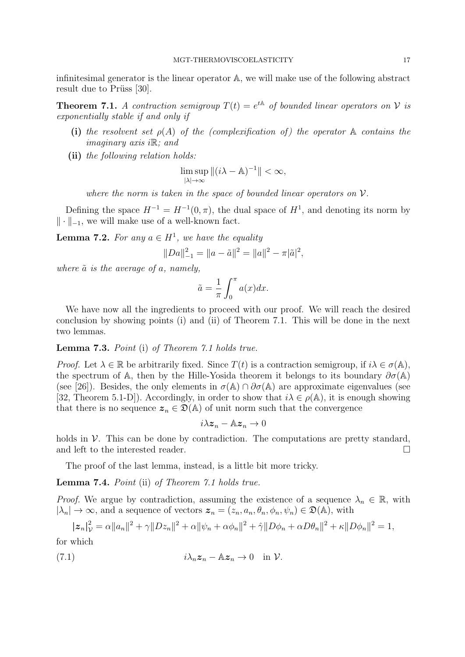infinitesimal generator is the linear operator A, we will make use of the following abstract result due to Prüss [30].

**Theorem 7.1.** *A contraction semigroup*  $T(t) = e^{tA}$  *of bounded linear operators on*  $V$  *is exponentially stable if and only if*

- (i) the resolvent set  $\rho(A)$  of the (complexification of) the operator  $A$  contains the *imaginary axis i*R*; and*
- **(ii)** *the following relation holds:*

$$
\limsup_{|\lambda| \to \infty} \|(i\lambda - A)^{-1}\| < \infty,
$$

*where the norm is taken in the space of bounded linear operators on V.*

Defining the space  $H^{-1} = H^{-1}(0, \pi)$ , the dual space of  $H^1$ , and denoting its norm by *∥ · ∥−*<sup>1</sup>, we will make use of a well-known fact.

**Lemma 7.2.** *For any*  $a \in H^1$ , *we have the equality* 

$$
||Da||_{-1}^{2} = ||a - \tilde{a}||^{2} = ||a||^{2} - \pi |\tilde{a}|^{2},
$$

*where a*˜ *is the average of a, namely,*

$$
\tilde{a} = \frac{1}{\pi} \int_0^{\pi} a(x) dx.
$$

We have now all the ingredients to proceed with our proof. We will reach the desired conclusion by showing points (i) and (ii) of Theorem 7.1. This will be done in the next two lemmas.

**Lemma 7.3.** *Point* (i) *of Theorem 7.1 holds true.*

*Proof.* Let  $\lambda \in \mathbb{R}$  be arbitrarily fixed. Since  $T(t)$  is a contraction semigroup, if  $i\lambda \in \sigma(\mathbb{A})$ , the spectrum of A, then by the Hille-Yosida theorem it belongs to its boundary  $\partial \sigma(A)$ (see [26]). Besides, the only elements in  $\sigma(A) \cap \partial \sigma(A)$  are approximate eigenvalues (see [32, Theorem 5.1-D]). Accordingly, in order to show that  $i\lambda \in \rho(\mathbb{A})$ , it is enough showing that there is no sequence  $z_n \in \mathcal{D}(\mathbb{A})$  of unit norm such that the convergence

$$
i\lambda \boldsymbol{z}_n - \mathbb{A}\boldsymbol{z}_n \to 0
$$

holds in  $V$ . This can be done by contradiction. The computations are pretty standard, and left to the interested reader.

The proof of the last lemma, instead, is a little bit more tricky.

**Lemma 7.4.** *Point* (ii) *of Theorem 7.1 holds true.*

*Proof.* We argue by contradiction, assuming the existence of a sequence  $\lambda_n \in \mathbb{R}$ , with  $|\lambda_n| \to \infty$ , and a sequence of vectors  $z_n = (z_n, a_n, \theta_n, \phi_n, \psi_n) \in \mathfrak{D}(\mathbb{A})$ , with

$$
|\boldsymbol{z}_n|_{\mathcal{V}}^2 = \alpha ||a_n||^2 + \gamma ||Dz_n||^2 + \alpha ||\psi_n + \alpha \phi_n||^2 + \hat{\gamma} ||D\phi_n + \alpha D\theta_n||^2 + \kappa ||D\phi_n||^2 = 1,
$$

for which

(7.1) 
$$
i\lambda_n z_n - \mathbb{A}z_n \to 0 \quad \text{in } \mathcal{V}.
$$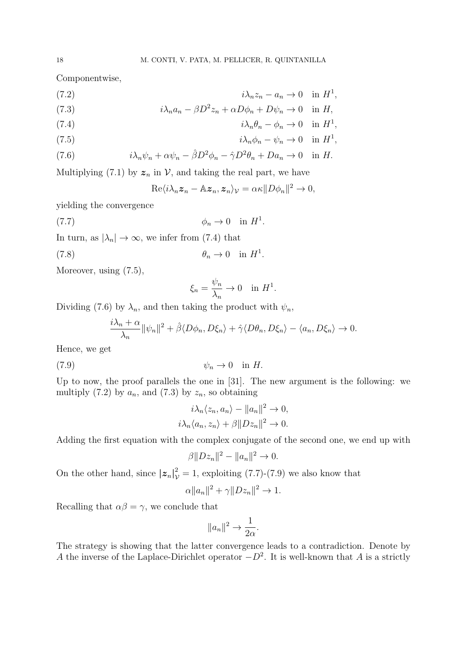Componentwise,

$$
(7.2) \t\t\t i\lambda_n z_n - a_n \to 0 \t\t in H^1,
$$

(7.3) 
$$
i\lambda_n a_n - \beta D^2 z_n + \alpha D\phi_n + D\psi_n \to 0 \quad \text{in } H,
$$

(7.4) 
$$
i\lambda_n\theta_n - \phi_n \to 0 \quad \text{in } H^1,
$$

(7.5) 
$$
i\lambda_n \phi_n - \psi_n \to 0 \quad \text{in } H^1,
$$

(7.6) 
$$
i\lambda_n \psi_n + \alpha \psi_n - \hat{\beta} D^2 \phi_n - \hat{\gamma} D^2 \theta_n + D a_n \to 0 \quad \text{in } H.
$$

Multiplying (7.1) by  $z_n$  in  $\mathcal V$ , and taking the real part, we have

$$
\mathrm{Re}\langle i\lambda_n\boldsymbol{z}_n-\mathbb{A}\boldsymbol{z}_n,\boldsymbol{z}_n\rangle_{\mathcal{V}}=\alpha\kappa||D\phi_n||^2\to 0,
$$

yielding the convergence

$$
\phi_n \to 0 \quad \text{in } H^1.
$$

In turn, as  $|\lambda_n| \to \infty$ , we infer from (7.4) that

$$
\theta_n \to 0 \quad \text{in } H^1.
$$

Moreover, using (7.5),

$$
\xi_n = \frac{\psi_n}{\lambda_n} \to 0 \quad \text{in } H^1.
$$

Dividing (7.6) by  $\lambda_n$ , and then taking the product with  $\psi_n$ ,

$$
\frac{i\lambda_n + \alpha}{\lambda_n} ||\psi_n||^2 + \hat{\beta} \langle D\phi_n, D\xi_n \rangle + \hat{\gamma} \langle D\theta_n, D\xi_n \rangle - \langle a_n, D\xi_n \rangle \to 0.
$$

Hence, we get

$$
\psi_n \to 0 \quad \text{in } H.
$$

Up to now, the proof parallels the one in [31]. The new argument is the following: we multiply  $(7.2)$  by  $a_n$ , and  $(7.3)$  by  $z_n$ , so obtaining

$$
i\lambda_n \langle z_n, a_n \rangle - ||a_n||^2 \to 0,
$$
  

$$
i\lambda_n \langle a_n, z_n \rangle + \beta ||Dz_n||^2 \to 0.
$$

Adding the first equation with the complex conjugate of the second one, we end up with

$$
\beta ||Dz_n||^2 - ||a_n||^2 \to 0.
$$

On the other hand, since  $|\boldsymbol{z}_n|^2_{\mathcal{V}} = 1$ , exploiting (7.7)-(7.9) we also know that

$$
\alpha ||a_n||^2 + \gamma ||Dz_n||^2 \to 1.
$$

Recalling that  $\alpha\beta = \gamma$ , we conclude that

$$
||a_n||^2 \to \frac{1}{2\alpha}.
$$

The strategy is showing that the latter convergence leads to a contradiction. Denote by *A* the inverse of the Laplace-Dirichlet operator *−D*<sup>2</sup> . It is well-known that *A* is a strictly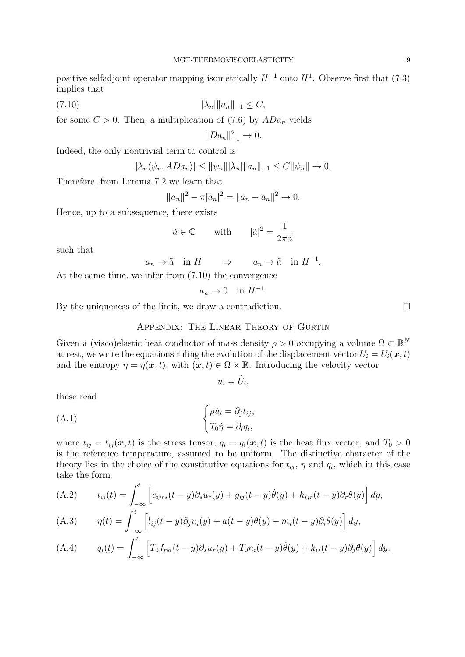positive selfadjoint operator mapping isometrically  $H^{-1}$  onto  $H^1$ . Observe first that (7.3) implies that

$$
(7.10) \t\t\t |\lambda_n| \|a_n\|_{-1} \le C,
$$

for some  $C > 0$ . Then, a multiplication of (7.6) by  $ADa_n$  yields

$$
||Da_n||_{-1}^2 \to 0.
$$

Indeed, the only nontrivial term to control is

$$
|\lambda_n \langle \psi_n, ADa_n \rangle| \le ||\psi_n|| |\lambda_n| ||a_n||_{-1} \le C ||\psi_n|| \to 0.
$$

Therefore, from Lemma 7.2 we learn that

$$
||a_n||^2 - \pi |\tilde{a}_n|^2 = ||a_n - \tilde{a}_n||^2 \to 0.
$$

Hence, up to a subsequence, there exists

$$
\tilde{a} \in \mathbb{C}
$$
 with  $|\tilde{a}|^2 = \frac{1}{2\pi\alpha}$ 

such that

$$
a_n \to \tilde{a} \quad \text{in } H \qquad \Rightarrow \qquad a_n \to \tilde{a} \quad \text{in } H^{-1}.
$$

At the same time, we infer from (7.10) the convergence

$$
a_n \to 0 \quad \text{in } H^{-1}.
$$

By the uniqueness of the limit, we draw a contradiction.  $\Box$ 

Appendix: The Linear Theory of Gurtin

Given a (visco)elastic heat conductor of mass density  $\rho > 0$  occupying a volume  $\Omega \subset \mathbb{R}^N$ at rest, we write the equations ruling the evolution of the displacement vector  $U_i = U_i(\boldsymbol{x}, t)$ and the entropy  $\eta = \eta(\mathbf{x}, t)$ , with  $(\mathbf{x}, t) \in \Omega \times \mathbb{R}$ . Introducing the velocity vector

$$
u_i = \dot{U}_i,
$$

these read

(A.1) 
$$
\begin{cases} \rho \dot{u}_i = \partial_j t_{ij}, \\ T_0 \dot{\eta} = \partial_i q_i, \end{cases}
$$

where  $t_{ij} = t_{ij}(\boldsymbol{x}, t)$  is the stress tensor,  $q_i = q_i(\boldsymbol{x}, t)$  is the heat flux vector, and  $T_0 > 0$ is the reference temperature, assumed to be uniform. The distinctive character of the theory lies in the choice of the constitutive equations for  $t_{ij}$ ,  $\eta$  and  $q_i$ , which in this case take the form

(A.2) 
$$
t_{ij}(t) = \int_{-\infty}^{t} \left[ c_{ijrs}(t-y) \partial_s u_r(y) + g_{ij}(t-y) \dot{\theta}(y) + h_{ijr}(t-y) \partial_r \theta(y) \right] dy,
$$

(A.3) 
$$
\eta(t) = \int_{-\infty}^{t} \left[ l_{ij}(t-y)\partial_j u_i(y) + a(t-y)\dot{\theta}(y) + m_i(t-y)\partial_i \theta(y) \right] dy,
$$

(A.4) 
$$
q_i(t) = \int_{-\infty}^t \left[ T_0 f_{rsi}(t-y) \partial_s u_r(y) + T_0 n_i(t-y) \dot{\theta}(y) + k_{ij}(t-y) \partial_j \theta(y) \right] dy.
$$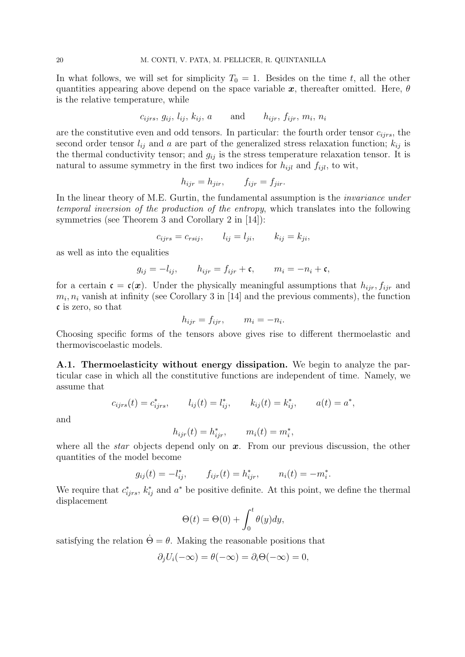In what follows, we will set for simplicity  $T_0 = 1$ . Besides on the time t, all the other quantities appearing above depend on the space variable *x*, thereafter omitted. Here, *θ* is the relative temperature, while

$$
c_{ijrs}, g_{ij}, l_{ij}, k_{ij}, a \qquad \text{and} \qquad h_{ijr}, f_{ijr}, m_i, n_i
$$

are the constitutive even and odd tensors. In particular: the fourth order tensor *cijrs*, the second order tensor  $l_{ij}$  and *a* are part of the generalized stress relaxation function;  $k_{ij}$  is the thermal conductivity tensor; and  $g_{ij}$  is the stress temperature relaxation tensor. It is natural to assume symmetry in the first two indices for  $h_{ijl}$  and  $f_{ijl}$ , to wit,

$$
h_{ijr} = h_{jir}, \t f_{ijr} = f_{jir}.
$$

In the linear theory of M.E. Gurtin, the fundamental assumption is the *invariance under temporal inversion of the production of the entropy*, which translates into the following symmetries (see Theorem 3 and Corollary 2 in [14]):

$$
c_{ijrs} = c_{rsij}, \qquad l_{ij} = l_{ji}, \qquad k_{ij} = k_{ji},
$$

as well as into the equalities

$$
g_{ij} = -l_{ij}, \qquad h_{ijr} = f_{ijr} + \mathfrak{c}, \qquad m_i = -n_i + \mathfrak{c},
$$

for a certain  $\mathfrak{c} = \mathfrak{c}(x)$ . Under the physically meaningful assumptions that  $h_{ijr}$ ,  $f_{ijr}$  and  $m_i, n_i$  vanish at infinity (see Corollary 3 in [14] and the previous comments), the function c is zero, so that

$$
h_{ijr} = f_{ijr}, \qquad m_i = -n_i.
$$

Choosing specific forms of the tensors above gives rise to different thermoelastic and thermoviscoelastic models.

**A.1. Thermoelasticity without energy dissipation.** We begin to analyze the particular case in which all the constitutive functions are independent of time. Namely, we assume that

$$
c_{ijrs}(t) = c_{ijrs}^*,
$$
  $l_{ij}(t) = l_{ij}^*,$   $k_{ij}(t) = k_{ij}^*,$   $a(t) = a^*,$ 

and

$$
h_{ijr}(t) = h_{ijr}^*, \qquad m_i(t) = m_i^*,
$$

where all the *star* objects depend only on x. From our previous discussion, the other quantities of the model become

$$
g_{ij}(t) = -l_{ij}^*,
$$
  $f_{ijr}(t) = h_{ijr}^*,$   $n_i(t) = -m_i^*.$ 

We require that  $c_{ijrs}^*$ ,  $k_{ij}^*$  and  $a^*$  be positive definite. At this point, we define the thermal displacement

$$
\Theta(t) = \Theta(0) + \int_0^t \theta(y) dy,
$$

satisfying the relation  $\dot{\Theta} = \theta$ . Making the reasonable positions that

$$
\partial_j U_i(-\infty) = \theta(-\infty) = \partial_i \Theta(-\infty) = 0,
$$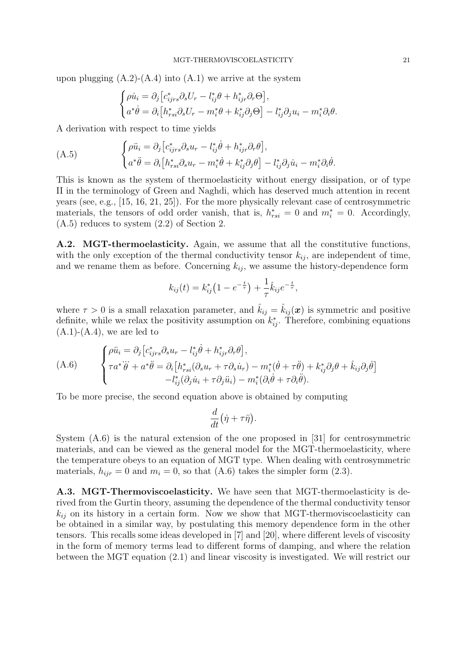upon plugging  $(A.2)-(A.4)$  into  $(A.1)$  we arrive at the system

$$
\begin{cases}\n\rho \dot{u}_i = \partial_j \left[ c_{ijrs}^* \partial_s U_r - l_{ij}^* \theta + h_{ijr}^* \partial_r \Theta \right], \\
a^* \dot{\theta} = \partial_i \left[ h_{rsi}^* \partial_s U_r - m_i^* \theta + k_{ij}^* \partial_j \Theta \right] - l_{ij}^* \partial_j u_i - m_i^* \partial_i \theta.\n\end{cases}
$$

A derivation with respect to time yields

(A.5) 
$$
\begin{cases} \rho \ddot{u}_i = \partial_j \left[ c_{ijrs}^* \partial_s u_r - l_{ij}^* \dot{\theta} + h_{ijr}^* \partial_r \theta \right], \\ a^* \ddot{\theta} = \partial_i \left[ h_{rsi}^* \partial_s u_r - m_i^* \dot{\theta} + k_{ij}^* \partial_j \theta \right] - l_{ij}^* \partial_j \dot{u}_i - m_i^* \partial_i \dot{\theta}. \end{cases}
$$

This is known as the system of thermoelasticity without energy dissipation, or of type II in the terminology of Green and Naghdi, which has deserved much attention in recent years (see, e.g., [15, 16, 21, 25]). For the more physically relevant case of centrosymmetric materials, the tensors of odd order vanish, that is,  $h_{rsi}^* = 0$  and  $m_i^* = 0$ . Accordingly, (A.5) reduces to system (2.2) of Section 2.

A.2. MGT-thermoelasticity. Again, we assume that all the constitutive functions, with the only exception of the thermal conductivity tensor  $k_{ij}$ , are independent of time, and we rename them as before. Concerning  $k_{ij}$ , we assume the history-dependence form

$$
k_{ij}(t) = k_{ij}^* \left( 1 - e^{-\frac{t}{\tau}} \right) + \frac{1}{\tau} \hat{k}_{ij} e^{-\frac{t}{\tau}},
$$

where  $\tau > 0$  is a small relaxation parameter, and  $\hat{k}_{ij} = \hat{k}_{ij}(\boldsymbol{x})$  is symmetric and positive definite, while we relax the positivity assumption on  $k_{ij}^*$ . Therefore, combining equations  $(A.1)-(A.4)$ , we are led to

(A.6) 
$$
\begin{cases} \rho \ddot{u}_i = \partial_j \left[ c_{ijrs}^* \partial_s u_r - l_{ij}^* \dot{\theta} + h_{ijr}^* \partial_r \theta \right], \\ \tau a^* \ddot{\theta} + a^* \ddot{\theta} = \partial_i \left[ h_{rsi}^* (\partial_s u_r + \tau \partial_s \dot{u}_r) - m_i^* (\dot{\theta} + \tau \ddot{\theta}) + k_{ij}^* \partial_j \theta + \hat{k}_{ij} \partial_j \dot{\theta} \right] \\ - l_{ij}^* (\partial_j \dot{u}_i + \tau \partial_j \ddot{u}_i) - m_i^* (\partial_i \dot{\theta} + \tau \partial_i \ddot{\theta}). \end{cases}
$$

To be more precise, the second equation above is obtained by computing

$$
\frac{d}{dt}(\dot{\eta} + \tau \ddot{\eta}).
$$

System (A.6) is the natural extension of the one proposed in [31] for centrosymmetric materials, and can be viewed as the general model for the MGT-thermoelasticity, where the temperature obeys to an equation of MGT type. When dealing with centrosymmetric materials,  $h_{ijr} = 0$  and  $m_i = 0$ , so that (A.6) takes the simpler form (2.3).

**A.3. MGT-Thermoviscoelasticity.** We have seen that MGT-thermoelasticity is derived from the Gurtin theory, assuming the dependence of the thermal conductivity tensor  $k_{ij}$  on its history in a certain form. Now we show that MGT-thermoviscoelasticity can be obtained in a similar way, by postulating this memory dependence form in the other tensors. This recalls some ideas developed in [7] and [20], where different levels of viscosity in the form of memory terms lead to different forms of damping, and where the relation between the MGT equation (2.1) and linear viscosity is investigated. We will restrict our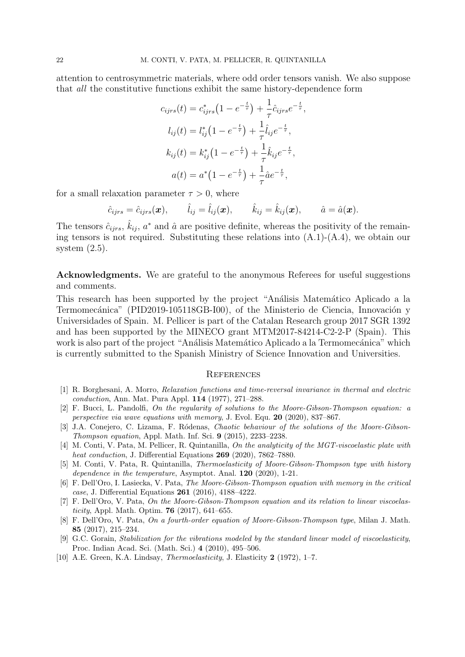attention to centrosymmetric materials, where odd order tensors vanish. We also suppose that *all* the constitutive functions exhibit the same history-dependence form

$$
c_{ijrs}(t) = c_{ijrs}^* (1 - e^{-\frac{t}{\tau}}) + \frac{1}{\tau} \hat{c}_{ijrs} e^{-\frac{t}{\tau}},
$$
  
\n
$$
l_{ij}(t) = l_{ij}^* (1 - e^{-\frac{t}{\tau}}) + \frac{1}{\tau} \hat{l}_{ij} e^{-\frac{t}{\tau}},
$$
  
\n
$$
k_{ij}(t) = k_{ij}^* (1 - e^{-\frac{t}{\tau}}) + \frac{1}{\tau} \hat{k}_{ij} e^{-\frac{t}{\tau}},
$$
  
\n
$$
a(t) = a^* (1 - e^{-\frac{t}{\tau}}) + \frac{1}{\tau} \hat{a} e^{-\frac{t}{\tau}},
$$

for a small relaxation parameter  $\tau > 0$ , where

$$
\hat{c}_{ijrs} = \hat{c}_{ijrs}(\boldsymbol{x}), \qquad \hat{l}_{ij} = \hat{l}_{ij}(\boldsymbol{x}), \qquad \hat{k}_{ij} = \hat{k}_{ij}(\boldsymbol{x}), \qquad \hat{a} = \hat{a}(\boldsymbol{x}).
$$

The tensors  $\hat{c}_{ijrs}$ ,  $\hat{k}_{ij}$ ,  $a^*$  and  $\hat{a}$  are positive definite, whereas the positivity of the remaining tensors is not required. Substituting these relations into  $(A.1)-(A.4)$ , we obtain our system  $(2.5)$ .

**Acknowledgments.** We are grateful to the anonymous Referees for useful suggestions and comments.

This research has been supported by the project "Análisis Matemático Aplicado a la Termomecánica" (PID2019-105118GB-I00), of the Ministerio de Ciencia, Innovación y Universidades of Spain. M. Pellicer is part of the Catalan Research group 2017 SGR 1392 and has been supported by the MINECO grant MTM2017-84214-C2-2-P (Spain). This work is also part of the project "Análisis Matemático Aplicado a la Termomecánica" which is currently submitted to the Spanish Ministry of Science Innovation and Universities.

#### **REFERENCES**

- [1] R. Borghesani, A. Morro, *Relaxation functions and time-reversal invariance in thermal and electric conduction*, Ann. Mat. Pura Appl. **114** (1977), 271–288.
- [2] F. Bucci, L. Pandolfi, *On the regularity of solutions to the Moore-Gibson-Thompson equation: a perspective via wave equations with memory*, J. Evol. Equ. **20** (2020), 837–867.
- [3] J.A. Conejero, C. Lizama, F. R´odenas, *Chaotic behaviour of the solutions of the Moore-Gibson-Thompson equation*, Appl. Math. Inf. Sci. **9** (2015), 2233–2238.
- [4] M. Conti, V. Pata, M. Pellicer, R. Quintanilla, *On the analyticity of the MGT-viscoelastic plate with heat conduction*, J. Differential Equations **269** (2020), 7862–7880.
- [5] M. Conti, V. Pata, R. Quintanilla, *Thermoelasticity of Moore-Gibson-Thompson type with history dependence in the temperature*, Asymptot. Anal. **120** (2020), 1-21.
- [6] F. Dell'Oro, I. Lasiecka, V. Pata, *The Moore-Gibson-Thompson equation with memory in the critical case*, J. Differential Equations **261** (2016), 4188–4222.
- [7] F. Dell'Oro, V. Pata, *On the Moore-Gibson-Thompson equation and its relation to linear viscoelasticity*, Appl. Math. Optim. **76** (2017), 641–655.
- [8] F. Dell'Oro, V. Pata, *On a fourth-order equation of Moore-Gibson-Thompson type*, Milan J. Math. **85** (2017), 215–234.
- [9] G.C. Gorain, *Stabilization for the vibrations modeled by the standard linear model of viscoelasticity*, Proc. Indian Acad. Sci. (Math. Sci.) **4** (2010), 495–506.
- [10] A.E. Green, K.A. Lindsay, *Thermoelasticity*, J. Elasticity **2** (1972), 1–7.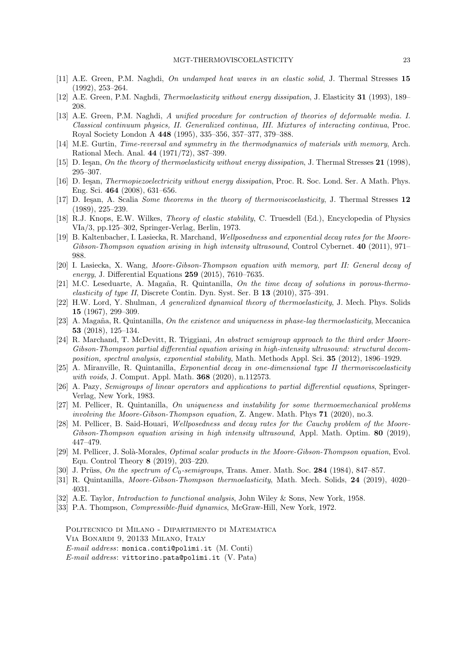- [11] A.E. Green, P.M. Naghdi, *On undamped heat waves in an elastic solid*, J. Thermal Stresses **15** (1992), 253–264.
- [12] A.E. Green, P.M. Naghdi, *Thermoelasticity without energy dissipation*, J. Elasticity **31** (1993), 189– 208.
- [13] A.E. Green, P.M. Naghdi, *A unified procedure for contruction of theories of deformable media. I. Classical continuum physics, II. Generalized continua, III. Mixtures of interacting continua*, Proc. Royal Society London A **448** (1995), 335–356, 357–377, 379–388.
- [14] M.E. Gurtin, *Time-reversal and symmetry in the thermodynamics of materials with memory*, Arch. Rational Mech. Anal. **44** (1971/72), 387–399.
- [15] D. Ieşan, *On the theory of thermoelasticity without energy dissipation*, J. Thermal Stresses 21 (1998), 295–307.
- [16] D. Ieşan, *Thermopiezoelectricity without energy dissipation*, Proc. R. Soc. Lond. Ser. A Math. Phys. Eng. Sci. **464** (2008), 631–656.
- [17] D. Ie¸san, A. Scalia *Some theorems in the theory of thermoviscoelasticity*, J. Thermal Stresses **12** (1989), 225–239.
- [18] R.J. Knops, E.W. Wilkes, *Theory of elastic stability*, C. Truesdell (Ed.), Encyclopedia of Physics VIa/3, pp.125–302, Springer-Verlag, Berlin, 1973.
- [19] B. Kaltenbacher, I. Lasiecka, R. Marchand, *Wellposedness and exponential decay rates for the Moore-Gibson-Thompson equation arising in high intensity ultrasound*, Control Cybernet. **40** (2011), 971– 988.
- [20] I. Lasiecka, X. Wang, *Moore-Gibson-Thompson equation with memory, part II: General decay of energy*, J. Differential Equations **259** (2015), 7610–7635.
- [21] M.C. Leseduarte, A. Magaña, R. Quintanilla, *On the time decay of solutions in porous-thermoelasticity of type II*, Discrete Contin. Dyn. Syst. Ser. B **13** (2010), 375–391.
- [22] H.W. Lord, Y. Shulman, *A generalized dynamical theory of thermoelasticity*, J. Mech. Phys. Solids **15** (1967), 299–309.
- [23] A. Magaña, R. Quintanilla, *On the existence and uniqueness in phase-lag thermoelasticity*, Meccanica **53** (2018), 125–134.
- [24] R. Marchand, T. McDevitt, R. Triggiani, *An abstract semigroup approach to the third order Moore-Gibson-Thompson partial differential equation arising in high-intensity ultrasound: structural decomposition, spectral analysis, exponential stability*, Math. Methods Appl. Sci. **35** (2012), 1896–1929.
- [25] A. Miranville, R. Quintanilla, *Exponential decay in one-dimensional type II thermoviscoelasticity with voids*, J. Comput. Appl. Math. **368** (2020), n.112573.
- [26] A. Pazy, *Semigroups of linear operators and applications to partial differential equations*, Springer-Verlag, New York, 1983.
- [27] M. Pellicer, R. Quintanilla, *On uniqueness and instability for some thermoemechanical problems involving the Moore-Gibson-Thompson equation*, Z. Angew. Math. Phys **71** (2020), no.3.
- [28] M. Pellicer, B. Said-Houari, *Wellposedness and decay rates for the Cauchy problem of the Moore-Gibson-Thompson equation arising in high intensity ultrasound*, Appl. Math. Optim. **80** (2019), 447–479.
- [29] M. Pellicer, J. Solà-Morales, *Optimal scalar products in the Moore-Gibson-Thompson equation*, Evol. Equ. Control Theory **8** (2019), 203–220.
- [30] J. Prüss, *On the spectrum of*  $C_0$ -semigroups, Trans. Amer. Math. Soc. **284** (1984), 847–857.
- [31] R. Quintanilla, *Moore-Gibson-Thompson thermoelasticity*, Math. Mech. Solids, **24** (2019), 4020– 4031.
- [32] A.E. Taylor, *Introduction to functional analysis*, John Wiley & Sons, New York, 1958.
- [33] P.A. Thompson, *Compressible-fluid dynamics*, McGraw-Hill, New York, 1972.

Politecnico di Milano - Dipartimento di Matematica Via Bonardi 9, 20133 Milano, Italy *E-mail address*: monica.conti@polimi.it (M. Conti) *E-mail address*: vittorino.pata@polimi.it (V. Pata)